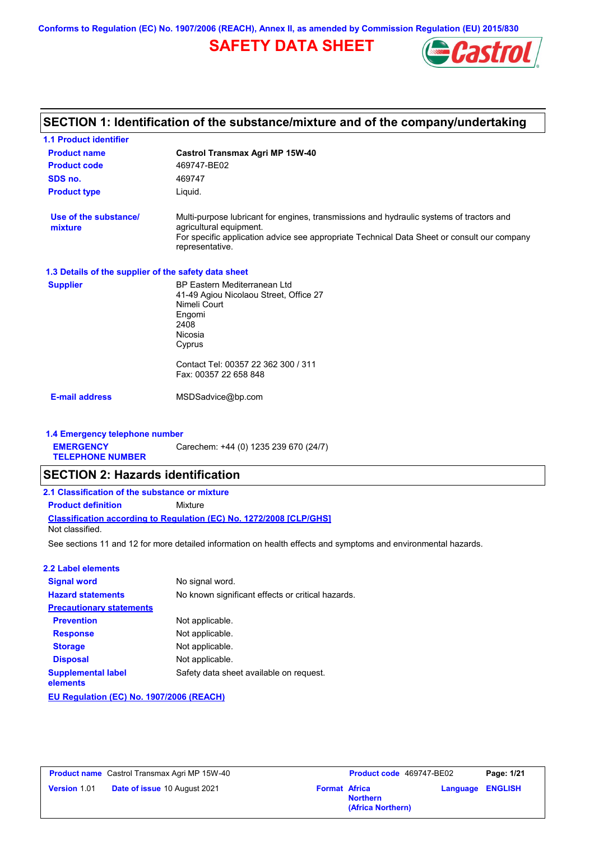**Conforms to Regulation (EC) No. 1907/2006 (REACH), Annex II, as amended by Commission Regulation (EU) 2015/830**

# **SAFETY DATA SHEET**



### **Castrol Transmax Agri MP 15W-40 Product name 1.1 Product identifier 1.3 Details of the supplier of the safety data sheet Product type Liquid. E-mail address** MSDSadvice@bp.com **SECTION 1: Identification of the substance/mixture and of the company/undertaking Product code 469747-BE02 1.4 Emergency telephone number EMERGENCY TELEPHONE NUMBER** Carechem: +44 (0) 1235 239 670 (24/7) **Supplier** BP Eastern Mediterranean Ltd 41-49 Agiou Nicolaou Street, Office 27 Nimeli Court Engomi 2408 Nicosia Cyprus Contact Tel: 00357 22 362 300 / 311 Fax: 00357 22 658 848 **SDS no.** 469747 **Use of the substance/ mixture** Multi-purpose lubricant for engines, transmissions and hydraulic systems of tractors and agricultural equipment. For specific application advice see appropriate Technical Data Sheet or consult our company representative. See sections 11 and 12 for more detailed information on health effects and symptoms and environmental hazards. **Classification according to Regulation (EC) No. 1272/2008 [CLP/GHS] SECTION 2: Hazards identification 2.1 Classification of the substance or mixture Product definition** Mixture **2.2 Label elements Signal word Hazard statements Prevention Precautionary statements Response Storage Disposal** No signal word. No known significant effects or critical hazards. Not applicable. Not applicable. Not applicable. Not applicable. **Supplemental label elements** Safety data sheet available on request. Not classified.

**EU Regulation (EC) No. 1907/2006 (REACH)**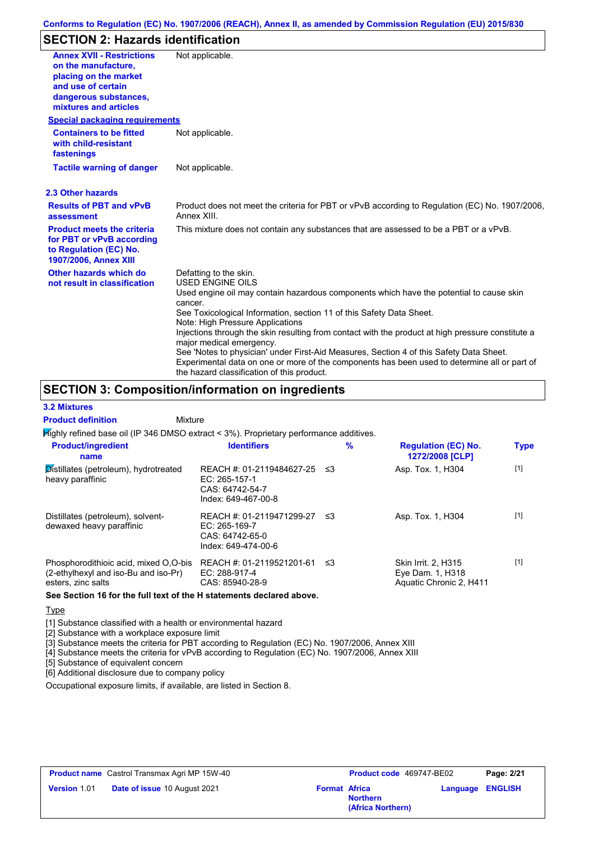# **SECTION 2: Hazards identification**

| <b>Annex XVII - Restrictions</b><br>on the manufacture.<br>placing on the market<br>and use of certain<br>dangerous substances,<br>mixtures and articles | Not applicable.                                                                                                                                                                                                                       |  |
|----------------------------------------------------------------------------------------------------------------------------------------------------------|---------------------------------------------------------------------------------------------------------------------------------------------------------------------------------------------------------------------------------------|--|
| <b>Special packaging requirements</b>                                                                                                                    |                                                                                                                                                                                                                                       |  |
| <b>Containers to be fitted</b><br>with child-resistant<br>fastenings                                                                                     | Not applicable.                                                                                                                                                                                                                       |  |
| Not applicable.<br><b>Tactile warning of danger</b>                                                                                                      |                                                                                                                                                                                                                                       |  |
| 2.3 Other hazards                                                                                                                                        |                                                                                                                                                                                                                                       |  |
| <b>Results of PBT and vPvB</b><br>assessment                                                                                                             | Product does not meet the criteria for PBT or vPvB according to Regulation (EC) No. 1907/2006.<br>Annex XIII.                                                                                                                         |  |
| <b>Product meets the criteria</b><br>for PBT or vPvB according<br>to Regulation (EC) No.<br>1907/2006, Annex XIII                                        | This mixture does not contain any substances that are assessed to be a PBT or a vPvB.                                                                                                                                                 |  |
| Other hazards which do<br>not result in classification                                                                                                   | Defatting to the skin.<br>USED ENGINE OILS                                                                                                                                                                                            |  |
|                                                                                                                                                          | Used engine oil may contain hazardous components which have the potential to cause skin<br>cancer.<br>See Toxicological Information, section 11 of this Safety Data Sheet.                                                            |  |
|                                                                                                                                                          | Note: High Pressure Applications                                                                                                                                                                                                      |  |
|                                                                                                                                                          | Injections through the skin resulting from contact with the product at high pressure constitute a<br>major medical emergency.                                                                                                         |  |
|                                                                                                                                                          | See 'Notes to physician' under First-Aid Measures, Section 4 of this Safety Data Sheet.<br>Experimental data on one or more of the components has been used to determine all or part of<br>the hazard classification of this product. |  |

## **SECTION 3: Composition/information on ingredients**

Mixture

### **3.2 Mixtures**

**Product definition**

Highly refined base oil (IP 346 DMSO extract < 3%). Proprietary performance additives.

| <b>Product/ingredient</b><br>name                                                                   | <b>Identifiers</b>                                                                     |     | $\frac{9}{6}$ | <b>Regulation (EC) No.</b><br>1272/2008 [CLP]                      | <b>Type</b> |
|-----------------------------------------------------------------------------------------------------|----------------------------------------------------------------------------------------|-----|---------------|--------------------------------------------------------------------|-------------|
| Distillates (petroleum), hydrotreated<br>heavy paraffinic                                           | REACH #: 01-2119484627-25<br>$EC: 265-157-1$<br>CAS: 64742-54-7<br>Index: 649-467-00-8 | -≤3 |               | Asp. Tox. 1, H304                                                  | $[1]$       |
| Distillates (petroleum), solvent-<br>dewaxed heavy paraffinic                                       | REACH #: 01-2119471299-27<br>$EC: 265-169-7$<br>CAS: 64742-65-0<br>Index: 649-474-00-6 | -≤3 |               | Asp. Tox. 1, H304                                                  | $[1]$       |
| Phosphorodithioic acid, mixed O,O-bis<br>(2-ethylhexyl and iso-Bu and iso-Pr)<br>esters, zinc salts | REACH #: 01-2119521201-61<br>EC: 288-917-4<br>CAS: 85940-28-9                          | -≤3 |               | Skin Irrit. 2, H315<br>Eye Dam. 1, H318<br>Aquatic Chronic 2, H411 | $[1]$       |

**See Section 16 for the full text of the H statements declared above.**

**Type** 

[1] Substance classified with a health or environmental hazard

[2] Substance with a workplace exposure limit

[3] Substance meets the criteria for PBT according to Regulation (EC) No. 1907/2006, Annex XIII

[4] Substance meets the criteria for vPvB according to Regulation (EC) No. 1907/2006, Annex XIII

[5] Substance of equivalent concern

[6] Additional disclosure due to company policy

Occupational exposure limits, if available, are listed in Section 8.

| <b>Product name</b> Castrol Transmax Agri MP 15W-40 |                                     | Product code 469747-BE02 | Page: 2/21                           |  |                         |
|-----------------------------------------------------|-------------------------------------|--------------------------|--------------------------------------|--|-------------------------|
| <b>Version 1.01</b>                                 | <b>Date of issue 10 August 2021</b> | <b>Format Africa</b>     | <b>Northern</b><br>(Africa Northern) |  | <b>Language ENGLISH</b> |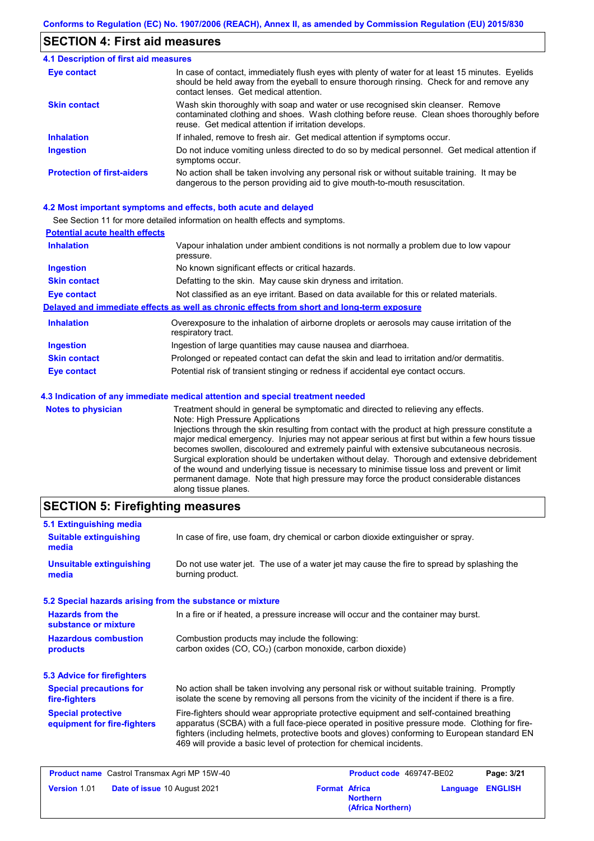### **SECTION 4: First aid measures**

#### Do not induce vomiting unless directed to do so by medical personnel. Get medical attention if symptoms occur. In case of contact, immediately flush eyes with plenty of water for at least 15 minutes. Eyelids should be held away from the eyeball to ensure thorough rinsing. Check for and remove any contact lenses. Get medical attention. **4.1 Description of first aid measures** If inhaled, remove to fresh air. Get medical attention if symptoms occur. **Ingestion Inhalation Eye contact Protection of first-aiders** No action shall be taken involving any personal risk or without suitable training. It may be dangerous to the person providing aid to give mouth-to-mouth resuscitation. **Skin contact** Wash skin thoroughly with soap and water or use recognised skin cleanser. Remove contaminated clothing and shoes. Wash clothing before reuse. Clean shoes thoroughly before reuse. Get medical attention if irritation develops.

### **4.2 Most important symptoms and effects, both acute and delayed**

See Section 11 for more detailed information on health effects and symptoms.

| <b>Potential acute health effects</b> |                                                                                                                   |
|---------------------------------------|-------------------------------------------------------------------------------------------------------------------|
| <b>Inhalation</b>                     | Vapour inhalation under ambient conditions is not normally a problem due to low vapour<br>pressure.               |
| <b>Ingestion</b>                      | No known significant effects or critical hazards.                                                                 |
| <b>Skin contact</b>                   | Defatting to the skin. May cause skin dryness and irritation.                                                     |
| <b>Eye contact</b>                    | Not classified as an eye irritant. Based on data available for this or related materials.                         |
|                                       | Delayed and immediate effects as well as chronic effects from short and long-term exposure                        |
| <b>Inhalation</b>                     | Overexposure to the inhalation of airborne droplets or aerosols may cause irritation of the<br>respiratory tract. |
| <b>Ingestion</b>                      | Ingestion of large quantities may cause nausea and diarrhoea.                                                     |
| <b>Skin contact</b>                   | Prolonged or repeated contact can defat the skin and lead to irritation and/or dermatitis.                        |
| Eye contact                           | Potential risk of transient stinging or redness if accidental eye contact occurs.                                 |
|                                       | 4.3 Indication of any immediate medical attention and special treatment needed                                    |
| Notes to physician                    | Treatment should in general he symptomatic and directed to relieving any effects                                  |

**Notes to physician** Treatment should in general be symptomatic and directed to relieving any effects. Note: High Pressure Applications Injections through the skin resulting from contact with the product at high pressure constitute a major medical emergency. Injuries may not appear serious at first but within a few hours tissue becomes swollen, discoloured and extremely painful with extensive subcutaneous necrosis. Surgical exploration should be undertaken without delay. Thorough and extensive debridement of the wound and underlying tissue is necessary to minimise tissue loss and prevent or limit permanent damage. Note that high pressure may force the product considerable distances along tissue planes.

### **SECTION 5: Firefighting measures**

| In case of fire, use foam, dry chemical or carbon dioxide extinguisher or spray.                                                                                                                                                                                                                                                                                  |  |
|-------------------------------------------------------------------------------------------------------------------------------------------------------------------------------------------------------------------------------------------------------------------------------------------------------------------------------------------------------------------|--|
| Do not use water jet. The use of a water jet may cause the fire to spread by splashing the<br>burning product.                                                                                                                                                                                                                                                    |  |
| 5.2 Special hazards arising from the substance or mixture                                                                                                                                                                                                                                                                                                         |  |
| In a fire or if heated, a pressure increase will occur and the container may burst.                                                                                                                                                                                                                                                                               |  |
| Combustion products may include the following:<br>carbon oxides $(CO, CO2)$ (carbon monoxide, carbon dioxide)                                                                                                                                                                                                                                                     |  |
|                                                                                                                                                                                                                                                                                                                                                                   |  |
| No action shall be taken involving any personal risk or without suitable training. Promptly<br><b>Special precautions for</b><br>isolate the scene by removing all persons from the vicinity of the incident if there is a fire.<br>fire-fighters                                                                                                                 |  |
| Fire-fighters should wear appropriate protective equipment and self-contained breathing<br>apparatus (SCBA) with a full face-piece operated in positive pressure mode. Clothing for fire-<br>fighters (including helmets, protective boots and gloves) conforming to European standard EN<br>469 will provide a basic level of protection for chemical incidents. |  |
|                                                                                                                                                                                                                                                                                                                                                                   |  |

| <b>Product name</b> Castrol Transmax Agri MP 15W-40 |                                     |                      | Product code 469747-BE02             |                         | Page: 3/21 |
|-----------------------------------------------------|-------------------------------------|----------------------|--------------------------------------|-------------------------|------------|
| <b>Version 1.01</b>                                 | <b>Date of issue 10 August 2021</b> | <b>Format Africa</b> | <b>Northern</b><br>(Africa Northern) | <b>Language ENGLISH</b> |            |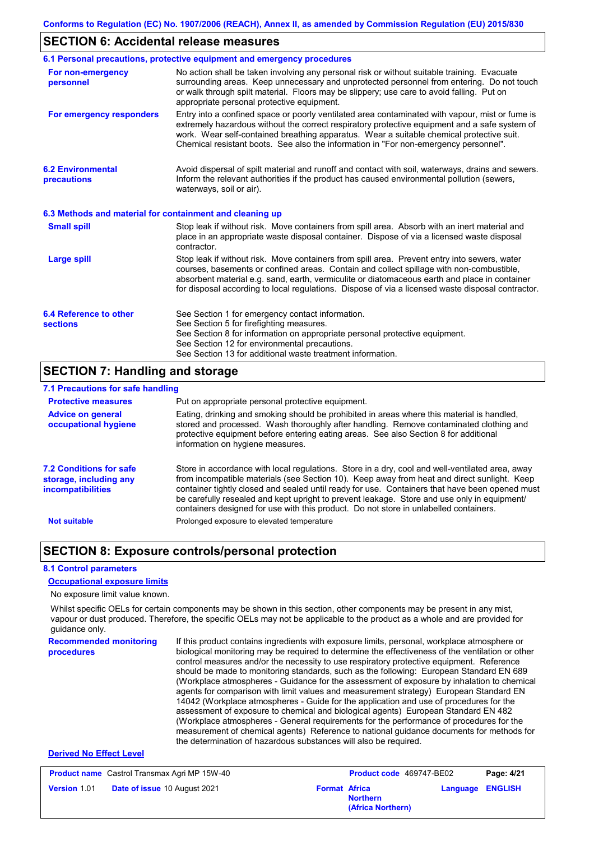### **SECTION 6: Accidental release measures**

|                                                          | 6.1 Personal precautions, protective equipment and emergency procedures                                                                                                                                                                                                                                                                                                                        |
|----------------------------------------------------------|------------------------------------------------------------------------------------------------------------------------------------------------------------------------------------------------------------------------------------------------------------------------------------------------------------------------------------------------------------------------------------------------|
| For non-emergency<br>personnel                           | No action shall be taken involving any personal risk or without suitable training. Evacuate<br>surrounding areas. Keep unnecessary and unprotected personnel from entering. Do not touch<br>or walk through spilt material. Floors may be slippery; use care to avoid falling. Put on<br>appropriate personal protective equipment.                                                            |
| For emergency responders                                 | Entry into a confined space or poorly ventilated area contaminated with vapour, mist or fume is<br>extremely hazardous without the correct respiratory protective equipment and a safe system of<br>work. Wear self-contained breathing apparatus. Wear a suitable chemical protective suit.<br>Chemical resistant boots. See also the information in "For non-emergency personnel".           |
| <b>6.2 Environmental</b><br>precautions                  | Avoid dispersal of spilt material and runoff and contact with soil, waterways, drains and sewers.<br>Inform the relevant authorities if the product has caused environmental pollution (sewers,<br>waterways, soil or air).                                                                                                                                                                    |
| 6.3 Methods and material for containment and cleaning up |                                                                                                                                                                                                                                                                                                                                                                                                |
| <b>Small spill</b>                                       | Stop leak if without risk. Move containers from spill area. Absorb with an inert material and<br>place in an appropriate waste disposal container. Dispose of via a licensed waste disposal<br>contractor.                                                                                                                                                                                     |
| <b>Large spill</b>                                       | Stop leak if without risk. Move containers from spill area. Prevent entry into sewers, water<br>courses, basements or confined areas. Contain and collect spillage with non-combustible,<br>absorbent material e.g. sand, earth, vermiculite or diatomaceous earth and place in container<br>for disposal according to local regulations. Dispose of via a licensed waste disposal contractor. |
| 6.4 Reference to other<br><b>sections</b>                | See Section 1 for emergency contact information.<br>See Section 5 for firefighting measures.<br>See Section 8 for information on appropriate personal protective equipment.<br>See Section 12 for environmental precautions.<br>See Section 13 for additional waste treatment information.                                                                                                     |

### **SECTION 7: Handling and storage**

### **7.1 Precautions for safe handling**

| <b>Protective measures</b>                                                           | Put on appropriate personal protective equipment.                                                                                                                                                                                                                                                                                                                                                                                                                                        |
|--------------------------------------------------------------------------------------|------------------------------------------------------------------------------------------------------------------------------------------------------------------------------------------------------------------------------------------------------------------------------------------------------------------------------------------------------------------------------------------------------------------------------------------------------------------------------------------|
| <b>Advice on general</b><br>occupational hygiene                                     | Eating, drinking and smoking should be prohibited in areas where this material is handled.<br>stored and processed. Wash thoroughly after handling. Remove contaminated clothing and<br>protective equipment before entering eating areas. See also Section 8 for additional<br>information on hygiene measures.                                                                                                                                                                         |
| <b>7.2 Conditions for safe</b><br>storage, including any<br><b>incompatibilities</b> | Store in accordance with local regulations. Store in a dry, cool and well-ventilated area, away<br>from incompatible materials (see Section 10). Keep away from heat and direct sunlight. Keep<br>container tightly closed and sealed until ready for use. Containers that have been opened must<br>be carefully resealed and kept upright to prevent leakage. Store and use only in equipment/<br>containers designed for use with this product. Do not store in unlabelled containers. |
| <b>Not suitable</b>                                                                  | Prolonged exposure to elevated temperature                                                                                                                                                                                                                                                                                                                                                                                                                                               |

### **SECTION 8: Exposure controls/personal protection**

### **8.1 Control parameters**

### **Occupational exposure limits**

No exposure limit value known.

Whilst specific OELs for certain components may be shown in this section, other components may be present in any mist, vapour or dust produced. Therefore, the specific OELs may not be applicable to the product as a whole and are provided for guidance only.

**Recommended monitoring procedures** If this product contains ingredients with exposure limits, personal, workplace atmosphere or biological monitoring may be required to determine the effectiveness of the ventilation or other control measures and/or the necessity to use respiratory protective equipment. Reference should be made to monitoring standards, such as the following: European Standard EN 689 (Workplace atmospheres - Guidance for the assessment of exposure by inhalation to chemical agents for comparison with limit values and measurement strategy) European Standard EN 14042 (Workplace atmospheres - Guide for the application and use of procedures for the assessment of exposure to chemical and biological agents) European Standard EN 482 (Workplace atmospheres - General requirements for the performance of procedures for the measurement of chemical agents) Reference to national guidance documents for methods for the determination of hazardous substances will also be required.

### **Derived No Effect Level**

| <b>Product name</b> Castrol Transmax Agri MP 15W-40 |                                     | <b>Product code</b> 469747-BE02 |                                      | Page: 4/21              |  |
|-----------------------------------------------------|-------------------------------------|---------------------------------|--------------------------------------|-------------------------|--|
| <b>Version 1.01</b>                                 | <b>Date of issue 10 August 2021</b> | <b>Format Africa</b>            | <b>Northern</b><br>(Africa Northern) | <b>Language ENGLISH</b> |  |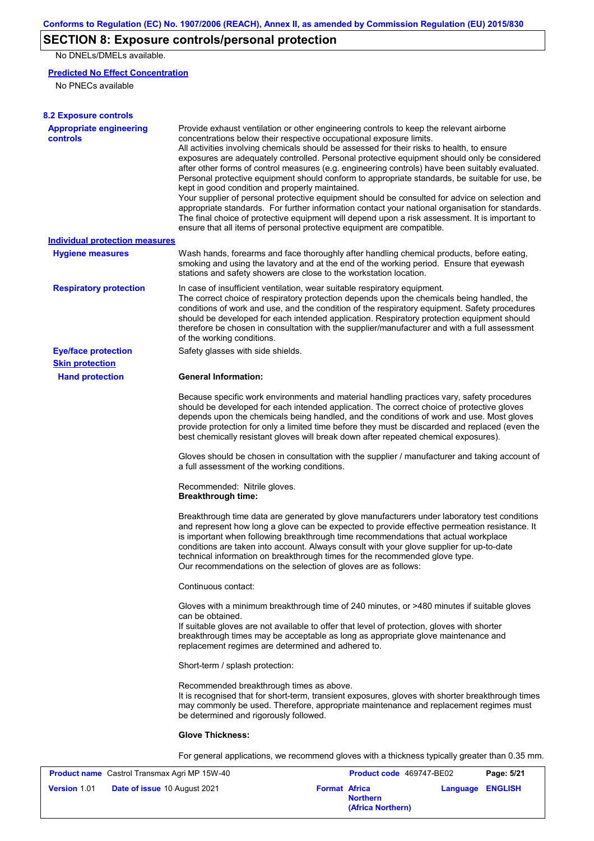# **SECTION 8: Exposure controls/personal protection**

No DNELs/DMELs available.

### **Predicted No Effect Concentration**

No PNECs available

| <b>8.2 Exposure controls</b>                        |                                                                                                                                                                                                                                                                                                                                                                                                                                                                                                                                                                                                                                                                                                                                                                                                                                                                                                                                                                                                                                                                                                                                                                                                                                       |
|-----------------------------------------------------|---------------------------------------------------------------------------------------------------------------------------------------------------------------------------------------------------------------------------------------------------------------------------------------------------------------------------------------------------------------------------------------------------------------------------------------------------------------------------------------------------------------------------------------------------------------------------------------------------------------------------------------------------------------------------------------------------------------------------------------------------------------------------------------------------------------------------------------------------------------------------------------------------------------------------------------------------------------------------------------------------------------------------------------------------------------------------------------------------------------------------------------------------------------------------------------------------------------------------------------|
| <b>Appropriate engineering</b><br><b>controls</b>   | Provide exhaust ventilation or other engineering controls to keep the relevant airborne<br>concentrations below their respective occupational exposure limits.<br>All activities involving chemicals should be assessed for their risks to health, to ensure<br>exposures are adequately controlled. Personal protective equipment should only be considered<br>after other forms of control measures (e.g. engineering controls) have been suitably evaluated.<br>Personal protective equipment should conform to appropriate standards, be suitable for use, be<br>kept in good condition and properly maintained.<br>Your supplier of personal protective equipment should be consulted for advice on selection and<br>appropriate standards. For further information contact your national organisation for standards.<br>The final choice of protective equipment will depend upon a risk assessment. It is important to<br>ensure that all items of personal protective equipment are compatible.                                                                                                                                                                                                                               |
| Individual protection measures                      |                                                                                                                                                                                                                                                                                                                                                                                                                                                                                                                                                                                                                                                                                                                                                                                                                                                                                                                                                                                                                                                                                                                                                                                                                                       |
| <b>Hygiene measures</b>                             | Wash hands, forearms and face thoroughly after handling chemical products, before eating,<br>smoking and using the lavatory and at the end of the working period. Ensure that eyewash<br>stations and safety showers are close to the workstation location.                                                                                                                                                                                                                                                                                                                                                                                                                                                                                                                                                                                                                                                                                                                                                                                                                                                                                                                                                                           |
| <b>Respiratory protection</b>                       | In case of insufficient ventilation, wear suitable respiratory equipment.<br>The correct choice of respiratory protection depends upon the chemicals being handled, the<br>conditions of work and use, and the condition of the respiratory equipment. Safety procedures<br>should be developed for each intended application. Respiratory protection equipment should<br>therefore be chosen in consultation with the supplier/manufacturer and with a full assessment<br>of the working conditions.                                                                                                                                                                                                                                                                                                                                                                                                                                                                                                                                                                                                                                                                                                                                 |
| <b>Eye/face protection</b>                          | Safety glasses with side shields.                                                                                                                                                                                                                                                                                                                                                                                                                                                                                                                                                                                                                                                                                                                                                                                                                                                                                                                                                                                                                                                                                                                                                                                                     |
| <b>Skin protection</b><br><b>Hand protection</b>    | <b>General Information:</b>                                                                                                                                                                                                                                                                                                                                                                                                                                                                                                                                                                                                                                                                                                                                                                                                                                                                                                                                                                                                                                                                                                                                                                                                           |
|                                                     | Because specific work environments and material handling practices vary, safety procedures<br>should be developed for each intended application. The correct choice of protective gloves<br>depends upon the chemicals being handled, and the conditions of work and use. Most gloves<br>provide protection for only a limited time before they must be discarded and replaced (even the<br>best chemically resistant gloves will break down after repeated chemical exposures).<br>Gloves should be chosen in consultation with the supplier / manufacturer and taking account of<br>a full assessment of the working conditions.<br>Recommended: Nitrile gloves.<br><b>Breakthrough time:</b><br>Breakthrough time data are generated by glove manufacturers under laboratory test conditions<br>and represent how long a glove can be expected to provide effective permeation resistance. It<br>is important when following breakthrough time recommendations that actual workplace<br>conditions are taken into account. Always consult with your glove supplier for up-to-date<br>technical information on breakthrough times for the recommended glove type.<br>Our recommendations on the selection of gloves are as follows: |
|                                                     | Continuous contact:                                                                                                                                                                                                                                                                                                                                                                                                                                                                                                                                                                                                                                                                                                                                                                                                                                                                                                                                                                                                                                                                                                                                                                                                                   |
|                                                     | Gloves with a minimum breakthrough time of 240 minutes, or >480 minutes if suitable gloves<br>can be obtained.<br>If suitable gloves are not available to offer that level of protection, gloves with shorter<br>breakthrough times may be acceptable as long as appropriate glove maintenance and<br>replacement regimes are determined and adhered to.                                                                                                                                                                                                                                                                                                                                                                                                                                                                                                                                                                                                                                                                                                                                                                                                                                                                              |
|                                                     | Short-term / splash protection:                                                                                                                                                                                                                                                                                                                                                                                                                                                                                                                                                                                                                                                                                                                                                                                                                                                                                                                                                                                                                                                                                                                                                                                                       |
|                                                     | Recommended breakthrough times as above.<br>It is recognised that for short-term, transient exposures, gloves with shorter breakthrough times<br>may commonly be used. Therefore, appropriate maintenance and replacement regimes must<br>be determined and rigorously followed.                                                                                                                                                                                                                                                                                                                                                                                                                                                                                                                                                                                                                                                                                                                                                                                                                                                                                                                                                      |
|                                                     | <b>Glove Thickness:</b>                                                                                                                                                                                                                                                                                                                                                                                                                                                                                                                                                                                                                                                                                                                                                                                                                                                                                                                                                                                                                                                                                                                                                                                                               |
|                                                     | For general applications, we recommend gloves with a thickness typically greater than 0.35 mm.                                                                                                                                                                                                                                                                                                                                                                                                                                                                                                                                                                                                                                                                                                                                                                                                                                                                                                                                                                                                                                                                                                                                        |
| <b>Product name</b> Castrol Transmay Agri MP 15W-40 | <b>Product code 469747-RE02</b><br>$P$ ane: 5/21                                                                                                                                                                                                                                                                                                                                                                                                                                                                                                                                                                                                                                                                                                                                                                                                                                                                                                                                                                                                                                                                                                                                                                                      |

| <b>Product name</b> Castrol Transmax Agri MP 15W-40 |                                     | <b>Product code</b> 469747-BE02 |                                      | Page: 5/21              |  |
|-----------------------------------------------------|-------------------------------------|---------------------------------|--------------------------------------|-------------------------|--|
| <b>Version 1.01</b>                                 | <b>Date of issue 10 August 2021</b> | <b>Format Africa</b>            | <b>Northern</b><br>(Africa Northern) | <b>Language ENGLISH</b> |  |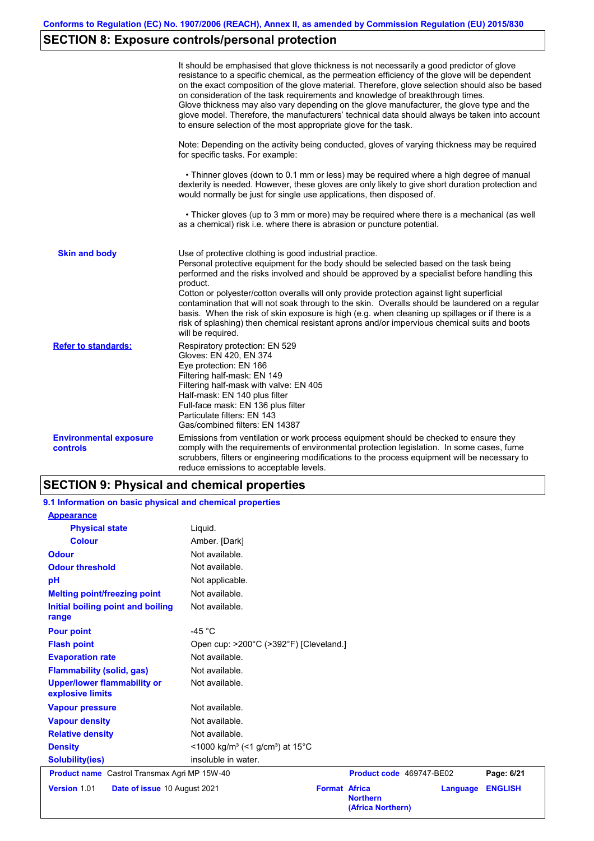# **SECTION 8: Exposure controls/personal protection**

|                                           | It should be emphasised that glove thickness is not necessarily a good predictor of glove<br>resistance to a specific chemical, as the permeation efficiency of the glove will be dependent<br>on the exact composition of the glove material. Therefore, glove selection should also be based<br>on consideration of the task requirements and knowledge of breakthrough times.<br>Glove thickness may also vary depending on the glove manufacturer, the glove type and the<br>glove model. Therefore, the manufacturers' technical data should always be taken into account<br>to ensure selection of the most appropriate glove for the task.                                     |
|-------------------------------------------|---------------------------------------------------------------------------------------------------------------------------------------------------------------------------------------------------------------------------------------------------------------------------------------------------------------------------------------------------------------------------------------------------------------------------------------------------------------------------------------------------------------------------------------------------------------------------------------------------------------------------------------------------------------------------------------|
|                                           | Note: Depending on the activity being conducted, gloves of varying thickness may be required<br>for specific tasks. For example:                                                                                                                                                                                                                                                                                                                                                                                                                                                                                                                                                      |
|                                           | • Thinner gloves (down to 0.1 mm or less) may be required where a high degree of manual<br>dexterity is needed. However, these gloves are only likely to give short duration protection and<br>would normally be just for single use applications, then disposed of.                                                                                                                                                                                                                                                                                                                                                                                                                  |
|                                           | • Thicker gloves (up to 3 mm or more) may be required where there is a mechanical (as well<br>as a chemical) risk i.e. where there is abrasion or puncture potential.                                                                                                                                                                                                                                                                                                                                                                                                                                                                                                                 |
| <b>Skin and body</b>                      | Use of protective clothing is good industrial practice.<br>Personal protective equipment for the body should be selected based on the task being<br>performed and the risks involved and should be approved by a specialist before handling this<br>product.<br>Cotton or polyester/cotton overalls will only provide protection against light superficial<br>contamination that will not soak through to the skin. Overalls should be laundered on a regular<br>basis. When the risk of skin exposure is high (e.g. when cleaning up spillages or if there is a<br>risk of splashing) then chemical resistant aprons and/or impervious chemical suits and boots<br>will be required. |
| <b>Refer to standards:</b>                | Respiratory protection: EN 529<br>Gloves: EN 420, EN 374<br>Eye protection: EN 166<br>Filtering half-mask: EN 149<br>Filtering half-mask with valve: EN 405<br>Half-mask: EN 140 plus filter<br>Full-face mask: EN 136 plus filter<br>Particulate filters: EN 143<br>Gas/combined filters: EN 14387                                                                                                                                                                                                                                                                                                                                                                                   |
| <b>Environmental exposure</b><br>controls | Emissions from ventilation or work process equipment should be checked to ensure they<br>comply with the requirements of environmental protection legislation. In some cases, fume<br>scrubbers, filters or engineering modifications to the process equipment will be necessary to<br>reduce emissions to acceptable levels.                                                                                                                                                                                                                                                                                                                                                         |

# **SECTION 9: Physical and chemical properties**

| 9.1 Information on basic physical and chemical properties |                                                                      |                                                              |          |                |
|-----------------------------------------------------------|----------------------------------------------------------------------|--------------------------------------------------------------|----------|----------------|
| <b>Appearance</b>                                         |                                                                      |                                                              |          |                |
| <b>Physical state</b>                                     | Liquid.                                                              |                                                              |          |                |
| <b>Colour</b>                                             | Amber. [Dark]                                                        |                                                              |          |                |
| <b>Odour</b>                                              | Not available.                                                       |                                                              |          |                |
| <b>Odour threshold</b>                                    | Not available.                                                       |                                                              |          |                |
| pH                                                        | Not applicable.                                                      |                                                              |          |                |
| <b>Melting point/freezing point</b>                       | Not available.                                                       |                                                              |          |                |
| Initial boiling point and boiling<br>range                | Not available.                                                       |                                                              |          |                |
| <b>Pour point</b>                                         | -45 $^{\circ}$ C                                                     |                                                              |          |                |
| <b>Flash point</b>                                        | Open cup: >200°C (>392°F) [Cleveland.]                               |                                                              |          |                |
| <b>Evaporation rate</b>                                   | Not available.                                                       |                                                              |          |                |
| <b>Flammability (solid, gas)</b>                          | Not available.                                                       |                                                              |          |                |
| <b>Upper/lower flammability or</b><br>explosive limits    | Not available.                                                       |                                                              |          |                |
| <b>Vapour pressure</b>                                    | Not available.                                                       |                                                              |          |                |
| <b>Vapour density</b>                                     | Not available.                                                       |                                                              |          |                |
| <b>Relative density</b>                                   | Not available.                                                       |                                                              |          |                |
| <b>Density</b>                                            | <1000 kg/m <sup>3</sup> (<1 g/cm <sup>3</sup> ) at 15 <sup>°</sup> C |                                                              |          |                |
| <b>Solubility(ies)</b>                                    | insoluble in water.                                                  |                                                              |          |                |
| <b>Product name</b> Castrol Transmax Agri MP 15W-40       |                                                                      | Product code 469747-BE02                                     |          | Page: 6/21     |
| Version 1.01<br>Date of issue 10 August 2021              |                                                                      | <b>Format Africa</b><br><b>Northern</b><br>(Africa Northern) | Language | <b>ENGLISH</b> |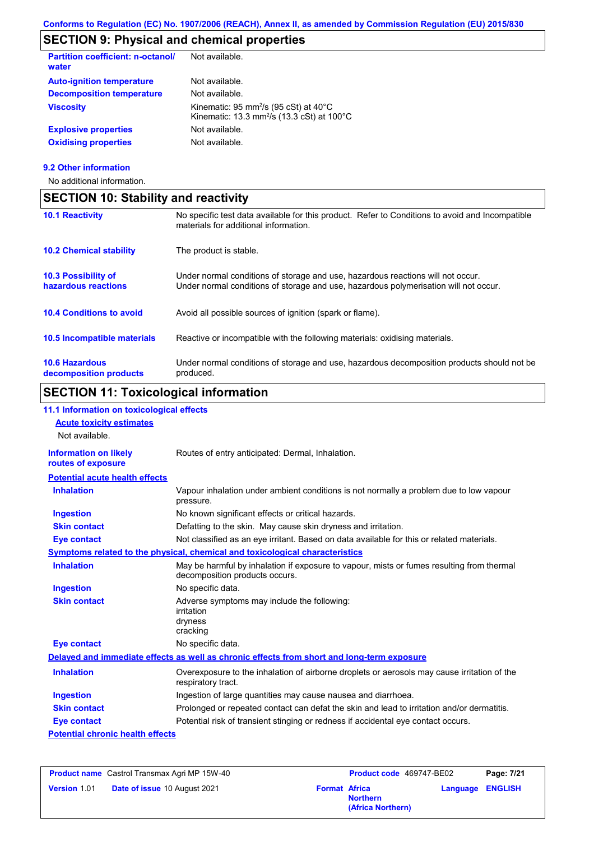# **SECTION 9: Physical and chemical properties**

| <b>Partition coefficient: n-octanol/</b><br>water | Not available.                                                                                                                  |
|---------------------------------------------------|---------------------------------------------------------------------------------------------------------------------------------|
| <b>Auto-ignition temperature</b>                  | Not available.                                                                                                                  |
| <b>Decomposition temperature</b>                  | Not available.                                                                                                                  |
| <b>Viscosity</b>                                  | Kinematic: 95 mm <sup>2</sup> /s (95 cSt) at $40^{\circ}$ C<br>Kinematic: 13.3 mm <sup>2</sup> /s (13.3 cSt) at $100^{\circ}$ C |
| <b>Explosive properties</b>                       | Not available.                                                                                                                  |
| <b>Oxidising properties</b>                       | Not available.                                                                                                                  |
|                                                   |                                                                                                                                 |

### **9.2 Other information**

No additional information.

| <b>SECTION 10: Stability and reactivity</b>       |                                                                                                                                                                         |  |  |
|---------------------------------------------------|-------------------------------------------------------------------------------------------------------------------------------------------------------------------------|--|--|
| <b>10.1 Reactivity</b>                            | No specific test data available for this product. Refer to Conditions to avoid and Incompatible<br>materials for additional information.                                |  |  |
| <b>10.2 Chemical stability</b>                    | The product is stable.                                                                                                                                                  |  |  |
| <b>10.3 Possibility of</b><br>hazardous reactions | Under normal conditions of storage and use, hazardous reactions will not occur.<br>Under normal conditions of storage and use, hazardous polymerisation will not occur. |  |  |
| <b>10.4 Conditions to avoid</b>                   | Avoid all possible sources of ignition (spark or flame).                                                                                                                |  |  |
| <b>10.5 Incompatible materials</b>                | Reactive or incompatible with the following materials: oxidising materials.                                                                                             |  |  |
| <b>10.6 Hazardous</b><br>decomposition products   | Under normal conditions of storage and use, hazardous decomposition products should not be<br>produced.                                                                 |  |  |

# **SECTION 11: Toxicological information**

| 11.1 Information on toxicological effects          |                                                                                                                             |
|----------------------------------------------------|-----------------------------------------------------------------------------------------------------------------------------|
| <b>Acute toxicity estimates</b>                    |                                                                                                                             |
| Not available.                                     |                                                                                                                             |
| <b>Information on likely</b><br>routes of exposure | Routes of entry anticipated: Dermal, Inhalation.                                                                            |
| <b>Potential acute health effects</b>              |                                                                                                                             |
| <b>Inhalation</b>                                  | Vapour inhalation under ambient conditions is not normally a problem due to low vapour<br>pressure.                         |
| <b>Ingestion</b>                                   | No known significant effects or critical hazards.                                                                           |
| <b>Skin contact</b>                                | Defatting to the skin. May cause skin dryness and irritation.                                                               |
| <b>Eye contact</b>                                 | Not classified as an eye irritant. Based on data available for this or related materials.                                   |
|                                                    | Symptoms related to the physical, chemical and toxicological characteristics                                                |
| <b>Inhalation</b>                                  | May be harmful by inhalation if exposure to vapour, mists or fumes resulting from thermal<br>decomposition products occurs. |
| <b>Ingestion</b>                                   | No specific data.                                                                                                           |
| <b>Skin contact</b>                                | Adverse symptoms may include the following:<br>irritation<br>dryness<br>cracking                                            |
| <b>Eye contact</b>                                 | No specific data.                                                                                                           |
|                                                    | Delayed and immediate effects as well as chronic effects from short and long-term exposure                                  |
| <b>Inhalation</b>                                  | Overexposure to the inhalation of airborne droplets or aerosols may cause irritation of the<br>respiratory tract.           |
| <b>Ingestion</b>                                   | Ingestion of large quantities may cause nausea and diarrhoea.                                                               |
| <b>Skin contact</b>                                | Prolonged or repeated contact can defat the skin and lead to irritation and/or dermatitis.                                  |
| <b>Eye contact</b>                                 | Potential risk of transient stinging or redness if accidental eye contact occurs.                                           |
| <b>Potential chronic health effects</b>            |                                                                                                                             |

| <b>Product name</b> Castrol Transmax Agri MP 15W-40 |                              | <b>Product code</b> 469747-BE02 |                                      | Page: 7/21 |                         |
|-----------------------------------------------------|------------------------------|---------------------------------|--------------------------------------|------------|-------------------------|
| <b>Version 1.01</b>                                 | Date of issue 10 August 2021 | <b>Format Africa</b>            | <b>Northern</b><br>(Africa Northern) |            | <b>Language ENGLISH</b> |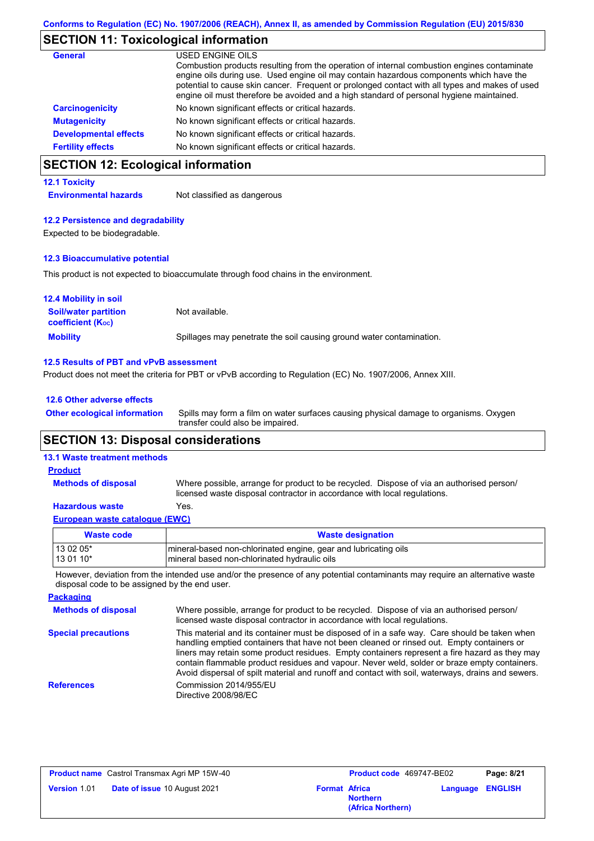### **SECTION 11: Toxicological information**

| <b>General</b>               | USED ENGINE OILS                                                                                                                                                                           |
|------------------------------|--------------------------------------------------------------------------------------------------------------------------------------------------------------------------------------------|
|                              | Combustion products resulting from the operation of internal combustion engines contaminate<br>engine oils during use. Used engine oil may contain hazardous components which have the     |
|                              | potential to cause skin cancer. Frequent or prolonged contact with all types and makes of used<br>engine oil must therefore be avoided and a high standard of personal hygiene maintained. |
| <b>Carcinogenicity</b>       | No known significant effects or critical hazards.                                                                                                                                          |
| <b>Mutagenicity</b>          | No known significant effects or critical hazards.                                                                                                                                          |
| <b>Developmental effects</b> | No known significant effects or critical hazards.                                                                                                                                          |
| <b>Fertility effects</b>     | No known significant effects or critical hazards.                                                                                                                                          |

# **SECTION 12: Ecological information**

### **12.1 Toxicity**

**Environmental hazards** Not classified as dangerous

### **12.2 Persistence and degradability**

Expected to be biodegradable.

### **12.3 Bioaccumulative potential**

This product is not expected to bioaccumulate through food chains in the environment.

| <b>12.4 Mobility in soil</b>                                  |                                                                      |
|---------------------------------------------------------------|----------------------------------------------------------------------|
| <b>Soil/water partition</b><br>coefficient (K <sub>oc</sub> ) | Not available.                                                       |
| <b>Mobility</b>                                               | Spillages may penetrate the soil causing ground water contamination. |

### **12.5 Results of PBT and vPvB assessment**

Product does not meet the criteria for PBT or vPvB according to Regulation (EC) No. 1907/2006, Annex XIII.

### **12.6 Other adverse effects**

**Other ecological information**

Spills may form a film on water surfaces causing physical damage to organisms. Oxygen transfer could also be impaired.

### **SECTION 13: Disposal considerations**

### **13.1 Waste treatment methods**

**Methods of disposal**

#### **Product**

Where possible, arrange for product to be recycled. Dispose of via an authorised person/ licensed waste disposal contractor in accordance with local regulations.

### **Hazardous waste** Yes.

| European waste cataloque (EWC) |                                                                  |
|--------------------------------|------------------------------------------------------------------|
| <b>Waste code</b>              | <b>Waste designation</b>                                         |
| 13 02 05*                      | Imineral-based non-chlorinated engine, gear and lubricating oils |
| $130110*$                      | mineral based non-chlorinated hydraulic oils                     |

However, deviation from the intended use and/or the presence of any potential contaminants may require an alternative waste disposal code to be assigned by the end user.

| <b>Packaging</b>           |                                                                                                                                                                                                                                                                                                                                                                                                                                                                                                 |
|----------------------------|-------------------------------------------------------------------------------------------------------------------------------------------------------------------------------------------------------------------------------------------------------------------------------------------------------------------------------------------------------------------------------------------------------------------------------------------------------------------------------------------------|
| <b>Methods of disposal</b> | Where possible, arrange for product to be recycled. Dispose of via an authorised person/<br>licensed waste disposal contractor in accordance with local regulations.                                                                                                                                                                                                                                                                                                                            |
| <b>Special precautions</b> | This material and its container must be disposed of in a safe way. Care should be taken when<br>handling emptied containers that have not been cleaned or rinsed out. Empty containers or<br>liners may retain some product residues. Empty containers represent a fire hazard as they may<br>contain flammable product residues and vapour. Never weld, solder or braze empty containers.<br>Avoid dispersal of spilt material and runoff and contact with soil, waterways, drains and sewers. |
| <b>References</b>          | Commission 2014/955/EU<br>Directive 2008/98/EC                                                                                                                                                                                                                                                                                                                                                                                                                                                  |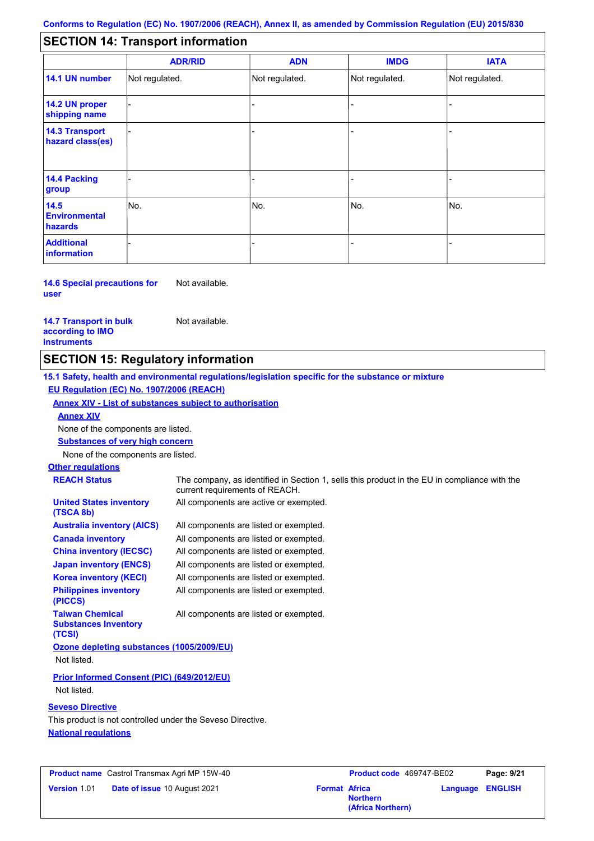#### - - - - - - - - - Not regulated. Not regulated. Not regulated. - - - **SECTION 14: Transport information ADR/RID IMDG IATA 14.1 UN number 14.2 UN proper shipping name 14.3 Transport hazard class(es) 14.4 Packing group ADN Additional information 14.5 Environmental hazards** No. 1988 | No. 1989 | No. 1989 | No. 1989 | No. 1989 | No. 1989 | No. 1989 | No. 1989 | No. 1989 | No. 1989 | Not regulated. - No. - -

#### **14.6 Special precautions for user** Not available.

### **14.7 Transport in bulk according to IMO instruments**

Not available.

### **SECTION 15: Regulatory information**

**15.1 Safety, health and environmental regulations/legislation specific for the substance or mixture EU Regulation (EC) No. 1907/2006 (REACH)**

**Annex XIV - List of substances subject to authorisation**

**Annex XIV**

None of the components are listed.

**Substances of very high concern**

None of the components are listed.

## **Other regulations**

| <b>REACH Status</b>                                             | The company, as identified in Section 1, sells this product in the EU in compliance with the<br>current requirements of REACH. |
|-----------------------------------------------------------------|--------------------------------------------------------------------------------------------------------------------------------|
| <b>United States inventory</b><br>(TSCA 8b)                     | All components are active or exempted.                                                                                         |
| <b>Australia inventory (AICS)</b>                               | All components are listed or exempted.                                                                                         |
| <b>Canada inventory</b>                                         | All components are listed or exempted.                                                                                         |
| <b>China inventory (IECSC)</b>                                  | All components are listed or exempted.                                                                                         |
| <b>Japan inventory (ENCS)</b>                                   | All components are listed or exempted.                                                                                         |
| <b>Korea inventory (KECI)</b>                                   | All components are listed or exempted.                                                                                         |
| <b>Philippines inventory</b><br>(PICCS)                         | All components are listed or exempted.                                                                                         |
| <b>Taiwan Chemical</b><br><b>Substances Inventory</b><br>(TCSI) | All components are listed or exempted.                                                                                         |
| Ozone depleting substances (1005/2009/EU)                       |                                                                                                                                |
| Not listed.                                                     |                                                                                                                                |
| Prior Informed Consent (PIC) (649/2012/EU)<br>Not listed.       |                                                                                                                                |

### **Seveso Directive**

**National regulations** This product is not controlled under the Seveso Directive.

|                     | <b>Product name</b> Castrol Transmax Agri MP 15W-40 |                      | <b>Product co</b> |
|---------------------|-----------------------------------------------------|----------------------|-------------------|
| <b>Version 1.01</b> | <b>Date of issue 10 August 2021</b>                 | <b>Format Africa</b> |                   |

| Castrol Transmax Agri MP 15W-40 |                      | <b>Product code</b> 469747-BE02      |                         | Page: 9/21 |
|---------------------------------|----------------------|--------------------------------------|-------------------------|------------|
| Date of issue 10 August 2021    | <b>Format Africa</b> | <b>Northern</b><br>(Africa Northern) | <b>Language ENGLISH</b> |            |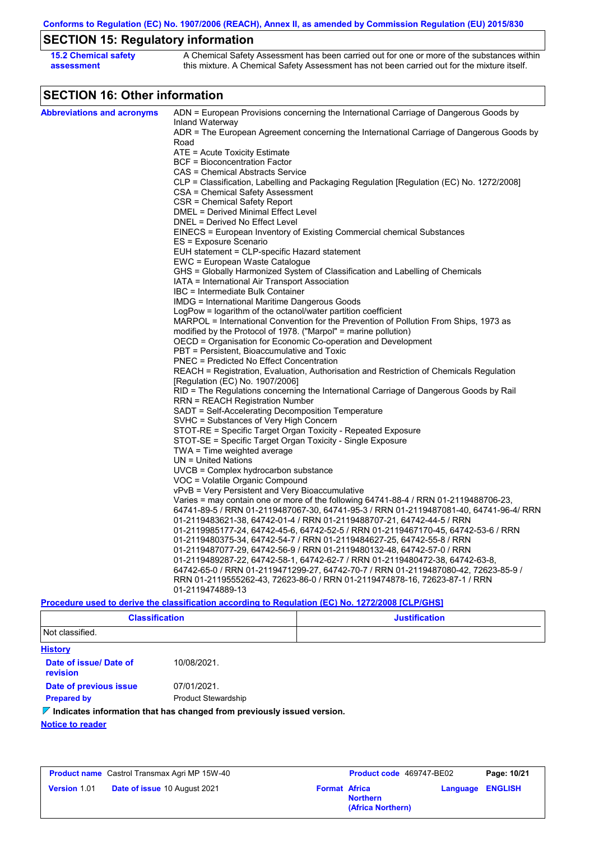**Conforms to Regulation (EC) No. 1907/2006 (REACH), Annex II, as amended by Commission Regulation (EU) 2015/830**

# **SECTION 15: Regulatory information**

| <b>15.2 Chemical safety</b> | A Chemical Safety Assessment has been carried out for one or more of the substances within  |
|-----------------------------|---------------------------------------------------------------------------------------------|
| assessment                  | this mixture. A Chemical Safety Assessment has not been carried out for the mixture itself. |

# **SECTION 16: Other information**

| <b>Abbreviations and acronyms</b> | ADN = European Provisions concerning the International Carriage of Dangerous Goods by                        |
|-----------------------------------|--------------------------------------------------------------------------------------------------------------|
|                                   | Inland Waterway                                                                                              |
|                                   | ADR = The European Agreement concerning the International Carriage of Dangerous Goods by<br>Road             |
|                                   | ATE = Acute Toxicity Estimate                                                                                |
|                                   | <b>BCF</b> = Bioconcentration Factor                                                                         |
|                                   | CAS = Chemical Abstracts Service                                                                             |
|                                   | CLP = Classification, Labelling and Packaging Regulation [Regulation (EC) No. 1272/2008]                     |
|                                   | CSA = Chemical Safety Assessment                                                                             |
|                                   | CSR = Chemical Safety Report                                                                                 |
|                                   | DMEL = Derived Minimal Effect Level                                                                          |
|                                   | DNEL = Derived No Effect Level                                                                               |
|                                   | EINECS = European Inventory of Existing Commercial chemical Substances                                       |
|                                   | ES = Exposure Scenario                                                                                       |
|                                   | EUH statement = CLP-specific Hazard statement                                                                |
|                                   | EWC = European Waste Catalogue                                                                               |
|                                   | GHS = Globally Harmonized System of Classification and Labelling of Chemicals                                |
|                                   | IATA = International Air Transport Association                                                               |
|                                   | IBC = Intermediate Bulk Container                                                                            |
|                                   | <b>IMDG</b> = International Maritime Dangerous Goods                                                         |
|                                   | LogPow = logarithm of the octanol/water partition coefficient                                                |
|                                   | MARPOL = International Convention for the Prevention of Pollution From Ships, 1973 as                        |
|                                   | modified by the Protocol of 1978. ("Marpol" = marine pollution)                                              |
|                                   | OECD = Organisation for Economic Co-operation and Development<br>PBT = Persistent, Bioaccumulative and Toxic |
|                                   | <b>PNEC = Predicted No Effect Concentration</b>                                                              |
|                                   | REACH = Registration, Evaluation, Authorisation and Restriction of Chemicals Regulation                      |
|                                   | [Regulation (EC) No. 1907/2006]                                                                              |
|                                   | RID = The Regulations concerning the International Carriage of Dangerous Goods by Rail                       |
|                                   | RRN = REACH Registration Number                                                                              |
|                                   | SADT = Self-Accelerating Decomposition Temperature                                                           |
|                                   | SVHC = Substances of Very High Concern                                                                       |
|                                   | STOT-RE = Specific Target Organ Toxicity - Repeated Exposure                                                 |
|                                   | STOT-SE = Specific Target Organ Toxicity - Single Exposure                                                   |
|                                   | TWA = Time weighted average                                                                                  |
|                                   | $UN = United Nations$                                                                                        |
|                                   | $UVCB = Complex\;hydrocarbon\; substance$                                                                    |
|                                   | VOC = Volatile Organic Compound                                                                              |
|                                   | vPvB = Very Persistent and Very Bioaccumulative                                                              |
|                                   | Varies = may contain one or more of the following $64741-88-4$ / RRN 01-2119488706-23,                       |
|                                   | 64741-89-5 / RRN 01-2119487067-30, 64741-95-3 / RRN 01-2119487081-40, 64741-96-4/ RRN                        |
|                                   | 01-2119483621-38, 64742-01-4 / RRN 01-2119488707-21, 64742-44-5 / RRN                                        |
|                                   | 01-2119985177-24, 64742-45-6, 64742-52-5 / RRN 01-2119467170-45, 64742-53-6 / RRN                            |
|                                   | 01-2119480375-34, 64742-54-7 / RRN 01-2119484627-25, 64742-55-8 / RRN                                        |
|                                   | 01-2119487077-29, 64742-56-9 / RRN 01-2119480132-48, 64742-57-0 / RRN                                        |
|                                   | 01-2119489287-22, 64742-58-1, 64742-62-7 / RRN 01-2119480472-38, 64742-63-8,                                 |
|                                   | 64742-65-0 / RRN 01-2119471299-27, 64742-70-7 / RRN 01-2119487080-42, 72623-85-9 /                           |
|                                   | RRN 01-2119555262-43, 72623-86-0 / RRN 01-2119474878-16, 72623-87-1 / RRN<br>01-2119474889-13                |
|                                   |                                                                                                              |
|                                   | Procedure used to derive the classification according to Regulation (EC) No. 1272/2008 [CLP/GHS]             |

| <b>Classification</b> | <b>Justification</b> |
|-----------------------|----------------------|
| Not classified.       |                      |

| <b>History</b>                     |                                                                                        |  |
|------------------------------------|----------------------------------------------------------------------------------------|--|
| Date of issue/ Date of<br>revision | 10/08/2021.                                                                            |  |
| Date of previous issue             | 07/01/2021.                                                                            |  |
| <b>Prepared by</b>                 | <b>Product Stewardship</b>                                                             |  |
|                                    | $\triangledown$ Indicates information that has changed from previously issued version. |  |
| <b>Notice to reader</b>            |                                                                                        |  |

|                     | <b>Product name</b> Castrol Transmax Agri MP 15W-40 |                      | Product code 469747-BE02             | Page: 10/21      |
|---------------------|-----------------------------------------------------|----------------------|--------------------------------------|------------------|
| <b>Version 1.01</b> | Date of issue 10 August 2021                        | <b>Format Africa</b> | <b>Northern</b><br>(Africa Northern) | Language ENGLISH |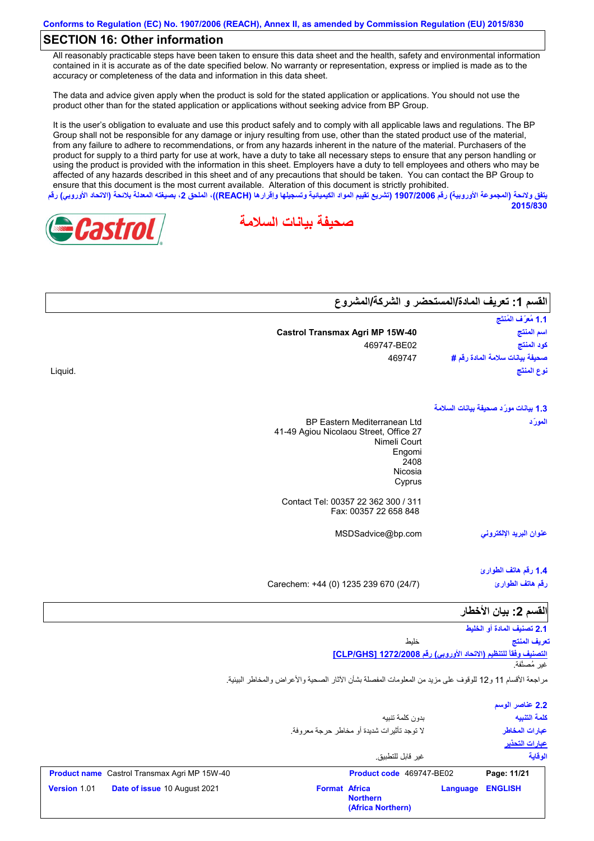### **SECTION 16: Other information**

All reasonably practicable steps have been taken to ensure this data sheet and the health, safety and environmental information contained in it is accurate as of the date specified below. No warranty or representation, express or implied is made as to the accuracy or completeness of the data and information in this data sheet.

The data and advice given apply when the product is sold for the stated application or applications. You should not use the product other than for the stated application or applications without seeking advice from BP Group.

It is the user's obligation to evaluate and use this product safely and to comply with all applicable laws and regulations. The BP Group shall not be responsible for any damage or injury resulting from use, other than the stated product use of the material, from any failure to adhere to recommendations, or from any hazards inherent in the nature of the material. Purchasers of the product for supply to a third party for use at work, have a duty to take all necessary steps to ensure that any person handling or using the product is provided with the information in this sheet. Employers have a duty to tell employees and others who may be affected of any hazards described in this sheet and of any precautions that should be taken. You can contact the BP Group to ensure that this document is the most current available. Alteration of this document is strictly prohibited. يتفق ولائحة (المجموعة الأوروبية) رقم 1907/2006 (تشريع تقييم المواد الكيميائية وتسجيلها وإقرارها (REACH)، الملحق 2، بصيغته المعدلة بلائحة (الاتحاد الأوروب*ي*) رقم

**صحیفة بیانات السلامة**



Liquid.

| القسم 1: تعريف المادة/المستحضر و الشركة/المشروع |                                        |
|-------------------------------------------------|----------------------------------------|
| 1.1 مُعرَّف المُنتَج                            |                                        |
| اسم المنتج                                      | <b>Castrol Transmax Agri MP 15W-40</b> |
| كود المنتج                                      | 469747-BE02                            |
| صحيفة بيانات سلامة المادة رقم #                 | 469747                                 |
| نوع المنتَج                                     |                                        |
| 1.3 بيانات مورّد صحيفة بيانات السلامة           |                                        |
| المورّد                                         | <b>BP Eastern Mediterranean Ltd</b>    |
|                                                 | 41-49 Agiou Nicolaou Street, Office 27 |
|                                                 | Nimeli Court<br>Engomi                 |
|                                                 | 2408                                   |
|                                                 | Nicosia                                |
|                                                 | Cyprus                                 |
|                                                 | Contact Tel: 00357 22 362 300 / 311    |
|                                                 | Fax: 00357 22 658 848                  |
| عنوان البريد الإلكترون <i>ى</i>                 | MSDSadvice@bp.com                      |
| 1.4 رقم هاتف الطوارئ                            |                                        |
| رقم هاتف الطوارئ                                | Carechem: +44 (0) 1235 239 670 (24/7)  |
|                                                 |                                        |
| القسم 2: بيان الأخطار                           |                                        |
| 2.1 تصنيف المادة أو الخليط<br>تعريف المنتج      | خليط                                   |
|                                                 |                                        |

**التصنیف وفقاً للتنظیم (الاتحاد الأوروبي) رقم 1272/2008 [GHS/CLP[** غیر مُصنَّفة.

**2015/830**

مراجعة الأقسام 11 و12 للوقوف على مزید من المعلومات المفصلة بشأن الآثار الصحیة والأعراض والمخاطر البیئیة.

|              |                                                     |                      | بدون كلمة تنبيه<br>لا توجد تأثيرات شديدة أو مخاطر حرجة معروفة. |          | 2.2 عناصر الوسم<br>كلمة التنبيه<br>عبارات المخاطر<br><u>عبارات التحذير</u> |
|--------------|-----------------------------------------------------|----------------------|----------------------------------------------------------------|----------|----------------------------------------------------------------------------|
|              |                                                     |                      | غير  قابل للتطبيق                                              |          | الوقاية                                                                    |
|              | <b>Product name</b> Castrol Transmax Agri MP 15W-40 |                      | Product code 469747-BE02                                       |          | Page: 11/21                                                                |
| Version 1.01 | Date of issue 10 August 2021                        | <b>Format Africa</b> | <b>Northern</b><br>(Africa Northern)                           | Language | <b>ENGLISH</b>                                                             |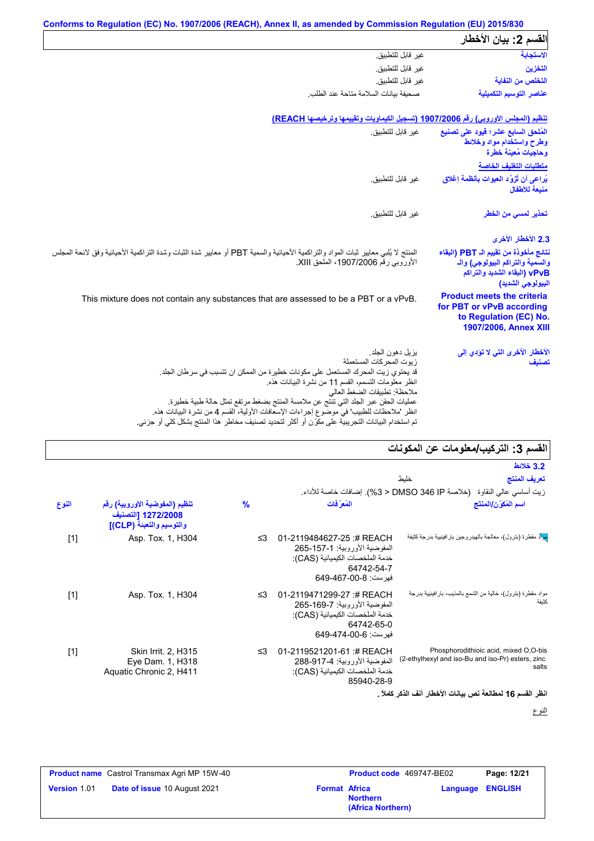|                                                                                                                                | Conforms to Regulation (EC) No. 1907/2006 (REACH), Annex II, as amended by Commission Regulation (EU) 2015/830                                                                                                                                                      |
|--------------------------------------------------------------------------------------------------------------------------------|---------------------------------------------------------------------------------------------------------------------------------------------------------------------------------------------------------------------------------------------------------------------|
| القسم 2: بيان الأخطار                                                                                                          |                                                                                                                                                                                                                                                                     |
| الاستجابة                                                                                                                      | غير قابل للتطبيق.                                                                                                                                                                                                                                                   |
| التخزين                                                                                                                        | غير قابل للتطبيق.                                                                                                                                                                                                                                                   |
| التخلص من النفاية                                                                                                              | غير قابل للتطبيق.                                                                                                                                                                                                                                                   |
| عناصر التوسيم التكميلية                                                                                                        | صحفة ببانات السلامة متاحة عند الطلب                                                                                                                                                                                                                                 |
|                                                                                                                                | تنظيم (المجلس الأوروبي) رقم 1907/2006 (تسجيل الكيماويات وتقييمها وترخيصها REACH)                                                                                                                                                                                    |
| المُلحق السابع عشر؛ قيود على تصنيع<br>وطرح واستخدام مواد وخلائط<br>وحاجيات مُعينة خطرة                                         | غبر قابل للتطبيق                                                                                                                                                                                                                                                    |
| متطلبات التغليف الخاصة                                                                                                         |                                                                                                                                                                                                                                                                     |
| يُراعى أن تُزوَّد العبوات بِأنظمة إغلاق<br>منبعة للأطفال                                                                       | غير قابل للتطبيق.                                                                                                                                                                                                                                                   |
| تحذير لمسى من الخطر                                                                                                            | غبر قابل للتطبيق                                                                                                                                                                                                                                                    |
| 2.3 الأخطار الأخرى                                                                                                             |                                                                                                                                                                                                                                                                     |
| نتائج مأخوذة من تقييم الـ PBT (البقاء<br>والسمية والتراكم البيولوجي) والـ<br>vPvB (البقاء الشديد والتراكم<br>البيولوجي الشديد) | المنتج لا يُلبي معايير ثبات المواد والتراكمية الأحيائية والسمية PBT أو معايير شدة الثبات وشدة التراكمية الأحيائية وفق لائحة المجلس<br>الأوروبي رقم 1907/2006، الملحق XIII.                                                                                          |
| <b>Product meets the criteria</b><br>for PBT or vPvB according<br>to Regulation (EC) No.<br>1907/2006, Annex XIII              | This mixture does not contain any substances that are assessed to be a PBT or a vPvB.                                                                                                                                                                               |
| الأخطار الأخرى التي لا تؤدي إلى<br>تصنيف                                                                                       | يزيل دهون الجلد<br>زيوت المحركات المستعملة<br>قد يحتوي زيت المحرك المستعمل على مكونات خطيرة من الممكن ان تتسبب في سرطان الجلد.                                                                                                                                      |
|                                                                                                                                | انظر معلومات التسمم، القسم 11 من نشرة البيانات هذه.<br>ملاحظة: تطبيقات الضغط العالي<br>عمليات الحقن عبر الجلد التي تنتج عن ملامسة المنتج بضغط مرتفع تمثل حالة طبية خطيرة.<br>انظر 'ملاحظات للطبيب' في موضوع إجراءات الإسعافات الأولية، القسم 4 من نشرة البيانات هذه |

# **القسم :3 التركیب/معلومات عن المكونات**

| المسم د. اسریپ استوسات حن استوتات                                                                   |                                                                                                                                    |               |                                                                                  |       |
|-----------------------------------------------------------------------------------------------------|------------------------------------------------------------------------------------------------------------------------------------|---------------|----------------------------------------------------------------------------------|-------|
| <b>3.2 خلائط</b>                                                                                    |                                                                                                                                    |               |                                                                                  |       |
| تعريف المنتج<br>خلىط                                                                                |                                                                                                                                    |               |                                                                                  |       |
| زيت أساسي عالى النقاوة   (خلاصة DMSO 346 IP < 3%). إضافات خاصة للأداء.                              |                                                                                                                                    |               |                                                                                  |       |
| اسم المُكوّن/المنتَج                                                                                | المُع َفات                                                                                                                         | $\frac{9}{6}$ | تنظيم (المفوضية الأوروبية) رقم<br>1272/2008 [التصنيف<br>والتوسيم والتعبنة (CLP)] | النوع |
| <mark>مِلا</mark> د مقطرة (بترول)، معالجة بالهيدروجين بار افينيية بدرجة كثيفة                       | 01-2119484627-25:# REACH<br>المفوضية الأور وبية: 1-157-265<br>خدمة الملخصات الكيميائية (CAS):<br>64742-54-7<br>فهرست: 8-00-649-649 | ≤3            | Asp. Tox. 1, H304                                                                | $[1]$ |
| مواد مقطرة (بترول)، خالية من الشمع بالمذيب، بار افينيية بدرجة<br>كثيفة                              | 01-2119471299-27:# REACH<br>المفوضية الأور وبية: 7-169-265<br>خدمة الملخصات الكيميائية (CAS):<br>64742-65-0<br>فهرست: 649-474-649  | ≤3            | Asp. Tox. 1, H304                                                                | $[1]$ |
| Phosphorodithioic acid, mixed O,O-bis<br>(2-ethylhexyl and iso-Bu and iso-Pr) esters, zinc<br>salts | 01-2119521201-61:# REACH<br>المفوضية الأوروبية: 4-917-288<br>خدمة الملخصات الكيميائية (CAS):<br>85940-28-9                         | ≤3            | Skin Irrit. 2, H315<br>Eye Dam. 1, H318<br>Aquatic Chronic 2, H411               | $[1]$ |

**انظر القسم 16 لمطالعة نص بیانات الأخطار آنف الذكر كاملاً .**

النوع

|                     | <b>Product name</b> Castrol Transmax Agri MP 15W-40 |                      | Product code 469747-BE02             |                         | Page: 12/21 |
|---------------------|-----------------------------------------------------|----------------------|--------------------------------------|-------------------------|-------------|
| <b>Version 1.01</b> | <b>Date of issue 10 August 2021</b>                 | <b>Format Africa</b> | <b>Northern</b><br>(Africa Northern) | <b>Language ENGLISH</b> |             |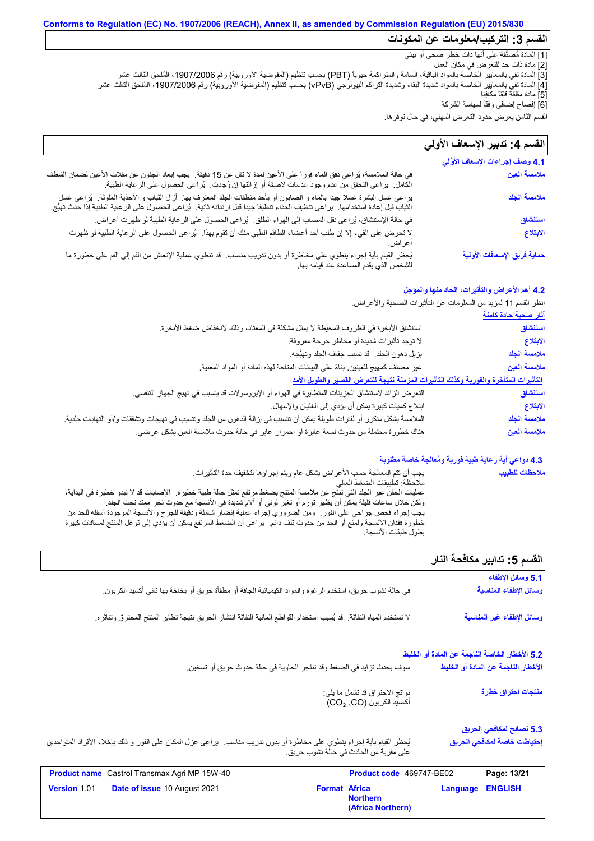### **Conforms to Regulation (EC) No. 1907/2006 (REACH), Annex II, as amended by Commission Regulation (EU) 2015/830 القسم :3 التركیب/معلومات عن المكونات**

[1] المادة مُصنَّفة على أنھا ذات خطر صحي أو بیئي

[2] مادة ذات حد للتعرض في مكان العمل

[3] المادة تفي بالمعاییر الخاصة بالمواد الباقیة، السامة والمتراكمة حیویاً (PBT (بحسب تنظیم (المفوضیة الأوروبیة) رقم ،1907/2006 المُلحق الثالث عشر [4] المادة تفي بالمعاییر الخاصة بالمواد شدیدة البقاء وشدیدة التراكم البیولوجي (vPvB (بحسب تنظیم (المفوضیة الأوروبیة) رقم ،1907/2006 المُلحق الثالث عشر [5] مادة مقلقة قلقاً مكافِئا

[6] إفصاح إضافي وفقًأ لسیاسة الشركة

القسم الثامن یعرض حدود التعرض المھني، في حال توفرھا.

### لا تحرض على القيء إلا إن طلب أحد أعضاء الطاقم الطبي منك أن تقوم بھذا. یُراعى الحصول على الرعایة الطبیة لو ظھرت أعراض. في حالة الملامسة، یُراعى دفق الماء فوراً على الأعین لمدة لا تقل عن 15 دقیقة. یجب إبعاد الجفون عن مقلات الأعین لضمان الشطف في حالة الملامسة، يُراعى دفق الماء فورا على الأعين لمدة لا تقل عن 15 دقيقة.<br>الكامل. يراعى التحقق من عدم وجود عدسات لاصقة أو إزالتها إن وُجِدت. يُراعى الحصول على الرعاية الطبية.<br>يراعى غسل البشرة غسلا جيدا بالماء و الصابون ق<sub>اع</sub> / في كان السعود التعرض الما<br>قسم الثامن يعرض حدود التعرض الما<br>**القسم 4: تدبير الإسعاف الأوَّلي**<br>4.1 وصف إجراءات الإسعاف الأوَّلي في حالة الإستنشاق، یُراعى نقل المصاب إلى الھواء الطلق. یُراعى الحصول على الرعایة الطبیة لو ظھرت أعراض. یُحظر القیام بأیة إجراء ینطوي على مخاطرة أو بدون تدریب مناسب. قد تنطوي عملیة الإنعاش من الفم إلى الفم على خطورة ما للشخص الذي یقدم المساعدة عند قیامھ بھا. القسم **4:** تدبير الإسعاف الأول*ي* في حالة الملامسة، يُراعى دفق الماء فوراً على الأعين لمدة لا تقل عن 15 دقيقة<sub>.</sub> يجب إبعاد الجفون عن مقلات الأعين لضمان الش<br>الكامل. يراعى التحقق من عدم وجود عدسات لاصقة أو إزِ التها إن وُجِدت. يُراعى الحصول على الرعاية الطب الثیاب قبل إعادة استخدامھا. یراعى تنظیف الحذاء تنظیفا جیدا قبل ارتدائھ ثانیة. یُراعى الحصول على الرعایة الطبیة إذا حدث تھیُّج. **ملامسة العین ملامسة الجلد استنشاق الابتلاع حمایة فریق الإسعافات الأولیة**

### **4.2 أھم الأعراض والتأثیرات، الحاد منھا والمؤجل**

انظر القسم 11 لمزید من المعلومات عن التأثیرات الصحیة والأعراض.

| <u>آثار صحية حادة كامنة</u> |                                                                                                                           |
|-----------------------------|---------------------------------------------------------------------------------------------------------------------------|
| استنشاق                     | استتشاق الأبخرة في الظروف المحيطة لا يمثل مشكلة في المعتاد، وذلك لانخفاض ضغط الأبخرة.                                     |
| الابتلاع                    | لا توجد تأثيرات شديدة أو مخاطر حرجة معروفة.                                                                               |
| ملامسة الجلد                | يزيل دهون الجلد ٍ قد تسبب جفاف الجلد وتهيُّجه.                                                                            |
| ملامسة العين                | غير مصنف كمهيج للعينين بناءً على البيانات المتاحة لهذه المادة أو المواد المعنية.                                          |
|                             | التأثيرات المتأخرة والفورية وكذلك التأثيرات المزمنة نتيجة للتعرض القصير والطويل الأمد                                     |
| استنشاق                     | النّعر ض الزائد لاستنشاق الجزيئات المتطايرة في الهواء أو الإيروسولات قد يتسبب في تهيج الجهاز التنفسي.                     |
| الابتلاع                    | ابتلاع كميات كبيرة يمكن أن يؤدي إلى الغثيان والإسهال.                                                                     |
| ملامسة الجلد                | الملامسة بشكل متكرر أو لفترات طويلة يمكن أن تتسبب في إزالة الدهون من الجلد وتتسبب في تهيجات وتشققات و/أو التهابات جلدية ِ |
| ملامسة العين                | هناك خطورة محتملة من حدوث لسعة عابرة أو احمرار عابر في حالة حدوث ملامسة العين بشكل عرضي.                                  |

### **4.3 دواعي أیة رعایة طبیة فوریة ومُعالجة خاصة مطلوبة**

| يجب أن تتم المعالجة حسب الأعراض بشكل عام ويتم إجراؤها لتخفيف حدة التأثيرات.                                               | ملاحظات للطبيب |
|---------------------------------------------------------------------------------------------------------------------------|----------------|
| ملاحظة: تطبيقات الضغط العالي                                                                                              |                |
| عمليات الحقن عبر الجلد التي تنتج عن ملامسة المنتج بضغط مرتفع تمثل حالة طبية خطيرة٬ الإصبابات قد لا تبدو خطيرة في البداية، |                |
| ولكن خلال ساعات قليلة يمكِّن أنَّ يظهر تورم أو تغير لوني أو آلام شديدة في الأنسجة مع حدوث نخر ممتد تحت الجلد.             |                |
| يجب إجراء فحص جراحي على الفور ٍ ومن الضروري إجراء عملية إنضار شاملة ودقيقة للجرح والأنسجة الموجودة أسفله للحد من          |                |
| خطورة فقدان الأنسجة ولمنع أو الحد من حدوث تلف دائم.  يراعي أن الضغط المرتفع يمكن أن يؤدي إلى توغل المنتج لمسافات كبيرة    |                |
| بطول طبقات الأنسجة.                                                                                                       |                |

# القسم 5: تدابیر مكافحة النار

|                                                                                                                           |                                                            |                                                | 5.1 وسائل الإطفاء                   |
|---------------------------------------------------------------------------------------------------------------------------|------------------------------------------------------------|------------------------------------------------|-------------------------------------|
| في حالة نشوب حريق، استخدم الر غوة والمواد الكيميائية الجافة أو مطفأة حريق أو بخاخة بها ثاني أكسيد الكربون.                |                                                            |                                                | وسائل الإطفاء المناسبة              |
| لا تستخدم المياه النفاثة. ۖ قد يُسبب استخدام القواطع المائية النفاثة انتشار الحريق نتيجة تطاير المنتج المحترق وتناثره.    |                                                            |                                                | وسائل الإطفاء غير المناسبة          |
|                                                                                                                           |                                                            | 5.2 الأخطار الخاصة الناجمة عن المادة أو الخليط |                                     |
| سوف يحدث تزايد في الضغط وقد تنفجر الحاوية في حالة حدوث حريق أو تسخين.                                                     |                                                            |                                                | الأخطار الناجمة عن المادة أو الخليط |
|                                                                                                                           | نواتج الاحتراق قد تشمل ما يلي:<br>أكاسيد الكربون (CO2, CO) |                                                | منتجات احتراق خطرة                  |
|                                                                                                                           |                                                            |                                                | 5.3 نصائح لمكافحي الحريق            |
| يُحظر القيام بأية إجراء ينطوي على مخاطرة أو بدون تدريب مناسب.  يراعي عزل المكان على الفور و ذلك بإخلاء الأفراد المتواجدين | على مقربة من الحادث في حالة نشوب حريق.                     |                                                | إحتياطات خاصة لمكافحي الحريق        |
| Product name Castrol Transmax Agri MP 15W-40                                                                              |                                                            | Product code 469747-BE02                       | Page: 13/21                         |
| Date of issue 10 August 2021<br>Version 1.01                                                                              | <b>Format Africa</b><br><b>Northern</b>                    | Language<br>(Africa Northern)                  | <b>ENGLISH</b>                      |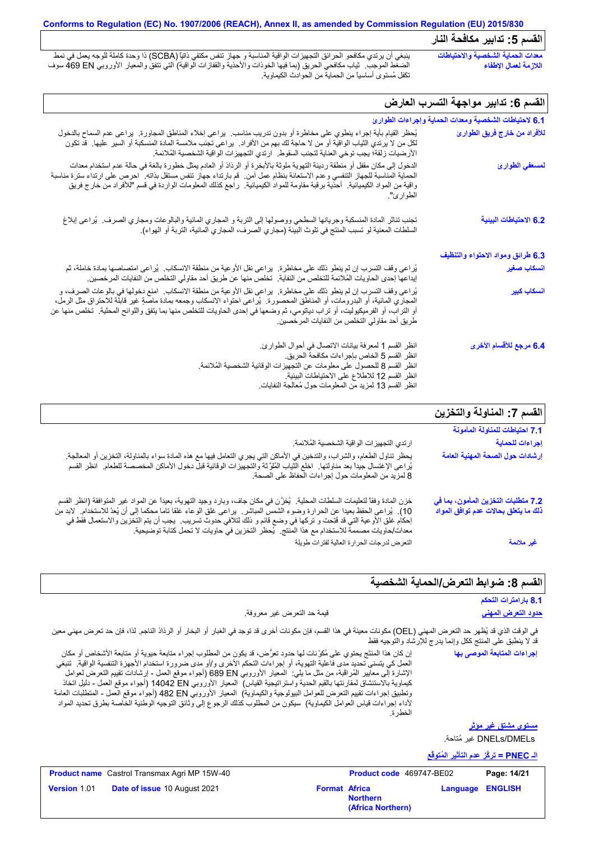### **Conforms to Regulation (EC) No. 1907/2006 (REACH), Annex II, as amended by Commission Regulation (EU) 2015/830 القسم :5 تدابیر مكافحة النار**

ینبغي أن یرتدي مكافحو الحرائق التجھیزات الواقیة المناسبة و جھاز تنفس مكتفي ذاتیاً (SCBA (ذا وحدة كاملة للوجھ یعمل في نمط الضغط الموجب. ثیاب مكافحي الحریق (بما فیھا الخوذات والأحذیة والقفازات الواقیة) التي تتفق والمعیار الأوروبي EN 469 سوف تكفل مُستوى أساسیاً من الحمایة من الحوادث الكیماویة. **معدات الحمایة الشخصیة والاحتیاطات اللازمة لعمال الإطفاء**

# القسم 6: تدابیر مواجهة التسرب العارض

| 6.1 لاحتياطات الشخصية ومعدات الحماية وإجراءات الطوارئ |                                                                                                                                                                                                                                                                                                                                                                                                                                     |
|-------------------------------------------------------|-------------------------------------------------------------------------------------------------------------------------------------------------------------------------------------------------------------------------------------------------------------------------------------------------------------------------------------------------------------------------------------------------------------------------------------|
| للأفراد من خارج فريق الطوارئ                          | يُحظر القيام بأية إجراء ينطوي على مخاطرة أو بدون تدريب مناسب.  يراعي إخلاء المناطق المجاورة.  يراعي عدم السماح بالدخول<br>لكل من لا يرتدي الثياب الواقية أو من لا حاجة لك بهم من الأفراد.  يراعي تجنب ملامسة المادة المنسكبة أو السير  عليها.  قد تكون<br>الأرضيات زلقة؛ يجب توخي العناية لتجنب السقوط.   ارتدي التجهيز ات الواقية الشخصية المُلائمة.                                                                               |
| لمسعفي الطوارئ                                        | الدخول إلى مكان مقفل أو منطقة رديئة التهوية ملوثة بالأبخرة أو الرذاذ أو العادم يمثل خطورة بالغة في حالة عدم استخدام معدات<br>الحماية المناسبة للجهاز التنفسي وعدم الاستعانة بنظام عمل أمن . قم بارتداء جهاز تنفس مستقل بذاته . احرص على ارتداء سترة مناسبة<br>واقية من المواد الكيميائية   أحذية برقبة مقاومة للمواد الكيميائية   راجع كذلك المعلومات الواردة في قسم "للأفراد من خارج فريق<br>الطو ار ئ″.                           |
| 6.2 الاحتياطات البينية                                | تجنب تناثر المادة المنسكبة وجريانها السطحي ووصولها إلى التربة و المجاري المائية والبالوعات ومجاري الصرف.  يُراعى إبلاغ<br>السلطات المعنية لو تسبب المنتج في تلوث البيئة (مجاري الصرف، المجاري المائية، التربة أو الهواء).                                                                                                                                                                                                           |
| 6.3 طرائق ومواد الاحتواء والتنظيف                     |                                                                                                                                                                                                                                                                                                                                                                                                                                     |
| انسكاب صغير                                           | يُراعى وقف التسرب إن لم ينطو ذلك على مخاطرة.  يراعى نقل الأوعية من منطقة الانسكاب.  يُراعى امتصاصها بمادة خاملة، ثم<br>إيداعها إحدى الحاويات المُلائمة للتخلص من النفاية.  تخلص منها عن طريق أحد مقاولي التخلص من النفايات المر خصين.                                                                                                                                                                                               |
| ا <mark>نسكاب كبي</mark> ر                            | يُراعي وقف التسرب إن لم ينطو ذلك على مخاطرة.  يراعي نقل الأو عية من منطقة الانسكاب.  امنع دخولها في بالوعات الصرف، و<br>المعباري المائية، أو البدرومات، أو المناطق المعصورة.  يُراعي احتواء الانسكاب وجمعه بمادة ماصةٍ غير قابلة للاحتراق مثل الرمل،<br>أو التراب، أو الفرميكيوليت، أو تراب دياتومي، ثم وضعها في إحدى الحاويات للتخلص منها بما يتفق واللوائح المحلية. تخلص منها عن<br>طريق أحد مقاولي التخلص من النفايات المر خصين. |
| 6.4 مرجع للأقسام الأخرى                               | انظر القسم 1 لمعرفة بيانات الاتصال في أحوال الطوارئ.<br>انظر القسم 5 الخاص بإجراءات مكافحة الحريق.<br>انظر القسم 8 للحصول على معلومات عن التجهيزات الوقائية الشخصية المُلائمة.<br>انظر القسم 12 للاطلاع على الاحتياطات البيئية.<br>انظر القسم 13 لمزيد من المعلومات حول مُعالجة النفايات                                                                                                                                            |

# **القسم :7 المناولة والتخزین**

|                                                                                                                                                                                                                                                                                                                                                                                                                                                                                  | القسم /: المناولة والنحرين                                                  |
|----------------------------------------------------------------------------------------------------------------------------------------------------------------------------------------------------------------------------------------------------------------------------------------------------------------------------------------------------------------------------------------------------------------------------------------------------------------------------------|-----------------------------------------------------------------------------|
|                                                                                                                                                                                                                                                                                                                                                                                                                                                                                  | 7.1 احتياطات للمناولة المأمونة                                              |
| ارتدي التجهيز ات الواقية الشخصية المُلائمة.                                                                                                                                                                                                                                                                                                                                                                                                                                      | إجراءات للحماية                                                             |
| يحظر تناول الطعام، والشراب، والتدخين في الأماكن التي يجري التعامل فيها مع هذه المادة سواء بالمناولة، التخزين أو المعالجة<br>يُراعى الإغتسال جيداً بعد مناولتها ِ اخلع الثياب المُلوَّثة والتجهيزات الوقائية قبل دخول الأماكن الم<br>8 لمزيد من المعلومات حول إجراءات الحفاظ على الصحة.                                                                                                                                                                                           | إرشادات حول الصحة المهنية العامة                                            |
| خزن المادة وفقاً لتعليمات السلطات المحلية.  يُخزَّن في مكان جاف، وبارد وجيد التهوية، بعيداً عن المواد غير المتوافقة (انظر القسم<br>10). يُراعى الحفظ بعيدا عن الحرارة وضوء الشمس المباشر. يراعى غلق الوعاء غلقا ناما محكما إلى أن يُعدّ للاستخدام. لابد من<br>إحكام غلق الأوعية التي قد فُتِحت و تركها في وضع قائم و ذلك لتلافي حدوث تسريب.  يجب أن يتم التخزين والاستعمال فقط في<br>معدات/حاويات مصممة للاستخدام مع هذا المنتج.  يُحظر التخزين في حاويات لا تحمل كتابة توصيحية. | 7.2 متطلبات التخزين المأمون، بما في<br>ذلك ما يتعلق بحالات عدم توافق المواد |
| التعرض لدرجات الحرارة العالية لفترات طويلة                                                                                                                                                                                                                                                                                                                                                                                                                                       | غير ملائمة                                                                  |

## **القسم :8 ضوابط التعرض/الحمایة الشخصیة**

|                                                                                                                                                                                                                                                                                                                                                                                                                                                                                                                                                                                                                                                                                                                                                                  |                                 | مسم ن. موبعد سرمن/مسوب- مسم                                |
|------------------------------------------------------------------------------------------------------------------------------------------------------------------------------------------------------------------------------------------------------------------------------------------------------------------------------------------------------------------------------------------------------------------------------------------------------------------------------------------------------------------------------------------------------------------------------------------------------------------------------------------------------------------------------------------------------------------------------------------------------------------|---------------------------------|------------------------------------------------------------|
|                                                                                                                                                                                                                                                                                                                                                                                                                                                                                                                                                                                                                                                                                                                                                                  |                                 | 8.1 بارامترات التحكم                                       |
| قيمة حد النعرض غير معروفة.                                                                                                                                                                                                                                                                                                                                                                                                                                                                                                                                                                                                                                                                                                                                       |                                 | <u>حدود التعرض المهني</u>                                  |
| في الوقت الذي قد يُظهر حد التعرض المهني (OEL) مكونات معينة في هذا القسم، فإن مكونات أخرى قد توجد في الغبار أو البخار أو الرذاذ الناجم. لذا، فإن حد تعرض مهني معين                                                                                                                                                                                                                                                                                                                                                                                                                                                                                                                                                                                                |                                 | قد لا ينطبق على المنتج ككل وإنما يدرج للإرشاد والتوجيه فقط |
| إن كان هذا المنتَج يحتوي على مُكرِّنات لها حدود تعرَّض، قد يكون من المطلوب إجراء متابعة حيوية أو متابعة الأشخاص أو مكان<br>العمل كي يتسنى تحديد مدى فاعلية التهوية، أو إجراءات التحكم الأخرى و/أو مدى ضرورة استخدام الأجهزة التنفسية الواقية.  تنبغي<br>الإشارة إلى معايير المُراقبة، من مثل ما يلي:  المعيار الأوروبي 680 689 (أجواء موقع العمل - إرشادات نقييع النعرض لعوامل<br>كيماوية بالاستنشاق لمقارنتها بالقيع الحدية واستراتيجية القياس)  المعيار الأوروبي 14042 DN (أجواء موقع المعل - دليل اتخاذ<br>وتطبيق اجراءات تقييم التعرض للعوامل البيولوجية والكيماوية)  المعيار الأوروبي 482 B2 (أجواء موقع العمل - المنطلبات العامة<br>لأداء إجراءات قياس العوامل الكيماوية)  سيكون من المطلوب كذلك الرجوع إلى وثائق التوجيه الوطنية الخاصة بطرق تحديد المواد | النطرة                          | إجراءات المتابعة الموصى بها                                |
|                                                                                                                                                                                                                                                                                                                                                                                                                                                                                                                                                                                                                                                                                                                                                                  |                                 | <u>مستوی مشتق غیر موثر</u>                                 |
|                                                                                                                                                                                                                                                                                                                                                                                                                                                                                                                                                                                                                                                                                                                                                                  |                                 | DNELs/DMELs غير مُتاحة.                                    |
|                                                                                                                                                                                                                                                                                                                                                                                                                                                                                                                                                                                                                                                                                                                                                                  |                                 | <u>الـ PNEC = تركَّز عدم التأثير المُتوفَّع</u>            |
| <b>Product name</b> Castrol Transmax Agri MP 15W-40                                                                                                                                                                                                                                                                                                                                                                                                                                                                                                                                                                                                                                                                                                              | <b>Product code</b> 469747-BE02 | Page: 14/21                                                |

|                     | <b>Product name</b> Castrol Transmax Agri MP 15W-40 |                      | <b>Product code</b> 469747-BE02      |                         | Page: 14/21 |
|---------------------|-----------------------------------------------------|----------------------|--------------------------------------|-------------------------|-------------|
| <b>Version 1.01</b> | <b>Date of issue 10 August 2021</b>                 | <b>Format Africa</b> | <b>Northern</b><br>(Africa Northern) | <b>Language ENGLISH</b> |             |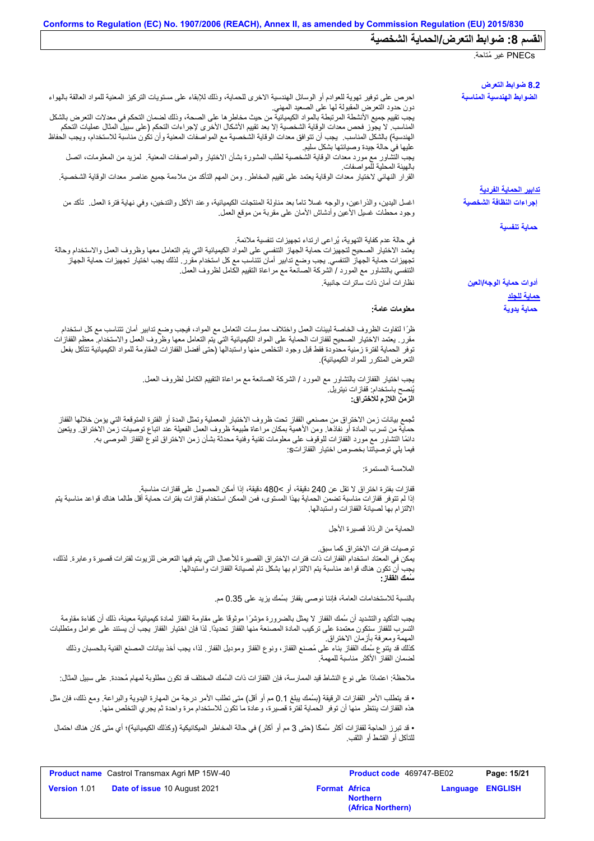|                                                                                                                                                                                                                                                                                                                                                                                                                           | PNECs غير مُتاحة.                             |
|---------------------------------------------------------------------------------------------------------------------------------------------------------------------------------------------------------------------------------------------------------------------------------------------------------------------------------------------------------------------------------------------------------------------------|-----------------------------------------------|
|                                                                                                                                                                                                                                                                                                                                                                                                                           |                                               |
| احرص على توفير تهوية للعوادم أو الوسائل الهندسية الاخرى للحماية، وذلك للإبقاء على مستويات التركيز المعنية للمواد العالقة بالهواء<br>دون حدود التعرض المقبولة لها على الصعيد المهنى                                                                                                                                                                                                                                        | 8.2 ضوابط التعرض<br>الضوابط الهندسية المناسبة |
| يجب تقييم جميع الأنشطة المرتبطة بالمواد الكيميائية من حيث مخاطر ها على الصحة، وذلك لضمان التحكم في معدلات التعرض بالشكل<br>المناسب لا يجوز فحص معدات الوقاية الشخصية إلا بعد تقييم الأشكال الأخرى لإجراءات التحكم (على سبيل المثال عمليات التحكم<br>الهندسية) بالشكل المناسب.  يجب أن تتوافق معدات الوقاية الشخصية مع المواصفات المعنية وأن تكون مناسبة للاستخدام، ويجب الحفاظ                                            |                                               |
| عليها في حالة جيدة وصيانتها بشكل سليم<br>يجب التشاور مع مورد معدات الوقاية الشخصية لطلب المشورة بشأن الاختيار والمواصفات المعنية   لمزيد من المعلومات، اتصل                                                                                                                                                                                                                                                               |                                               |
| بالهيئة المحلية للمواصفات<br>القرار النهائي لاختيار معدات الوقاية يعتمد على تقييم المخاطر ـ ومن المهم التأكد من ملاءمة جميع عناصر معدات الوقاية الشخصية.                                                                                                                                                                                                                                                                  | <u>تدابير الحماية الفردية</u>                 |
| اغسل اليدين، والذراعين، والوجه غسلاً تاماً بعد مناولة المنتجات الكيميائية، وعند الأكل والتدخين، وفي نهاية فترة العمل ِ تأكد من<br>وجود محطات غسيل الأعين وأدشاش الأمان علىي مقربة من موقع العمل                                                                                                                                                                                                                           | إجراءات النظافة الشخصية                       |
|                                                                                                                                                                                                                                                                                                                                                                                                                           | حماية تنفسية                                  |
| في حالة عدم كفاية التهوية، يُراعى ارتداء تجهيزات تنفسية ملائمة.<br>يعتمد الاختيار الصحيح لتجهيزات حماية الجهاز التنفسي على المواد الكيميائية التي يتم التعامل معها وظروف العمل والاستخدام وحالة<br>تجهيزات حماية الجهاز التنفسي. يجب وضع تدابير أمان تتناسب مع كل استخدام مقرر . لذلك يجب اختيار تجهيزات حماية الجهاز<br>التنفسي بالتشاور مع المورد / الشركة الصانعة مع مراعاة التقييم الكامل لظروف العمل                 |                                               |
| نظار ات أمان ذات ساتر ات جانبية.                                                                                                                                                                                                                                                                                                                                                                                          | أدوات حماية الوجه/العين<br><u>حماية للجلد</u> |
| معلومات عامة:                                                                                                                                                                                                                                                                                                                                                                                                             | حماية يدوية                                   |
| ظرًا لتفاوت الظروف الخاصة لبيئات العمل واختلاف ممارسات التعامل مع المواد، فيجب وضع تدابير أمان تتناسب مع كل استخدام<br>مقرر ٍ يعتمد الاختيار الصحيح لقفازات الحماية على المواد الكيميائية التي يتم التعامل معها وظروف العمل والاستخدام معظم القفازات<br>توفر الحماية لفترة زمنية محدودة فقط قبل وجود التخلص منها واستبدالها (حتى أفضل القفازات المقاومة للمواد الكيميائية تتآكل بفعل<br>التعرض المتكرر للمواد الكيميائية) |                                               |
| يجب اختيار القفازات بالتشاور مع المورد / الشركة الصانعة مع مراعاة التقييم الكامل لظروف العمل ِ<br>يُنصح باستخدام: ففاز ات نيتريل.<br>الزمن اللازم للاختراق:                                                                                                                                                                                                                                                               |                                               |
| ثجمع بيانات زمن الاختراق من مصنعي القفاز تحت ظروف الاختبار المعملية وتمثل المدة أو الفترة المتوقعة التي يؤمن خلالها القفاز<br>حماية من تسرب المادة أو نفاذها. ومن الأهمية بمكان مراعاة طبيعة ظروف العمل الفعيلة عند اتباع توصيات زمن الاختراق. ويتعين<br>دائمًا التشاور مع مورد القفازات للوقوف على معلومات تقنية وفنية محدثة بشأن زمن الاختراق لنوع القفاز الموصىي به<br>فيما يلي توصياتنا بخصوص اختيار القفاز اتS:      |                                               |
| الملامسة المستمرة:                                                                                                                                                                                                                                                                                                                                                                                                        |                                               |
| قفازات بفترة اختراق لا تقل عن 240 دقيقة، أو >480 دقيقة، إذا أمكن الحصول على قفازات مناسبة.<br>إذا لم تتوفر قفازات مناسبة تضمن الحماية بهذا المستوى، فمن الممكن استخدام قفازات بفترات حماية أقل طالما هناك قواعد مناسبة يتم<br>الالتزام بها لصيانة القفازات واستبدالها.                                                                                                                                                    |                                               |
| الحماية من الرذاذ قصيرة الأجل                                                                                                                                                                                                                                                                                                                                                                                             |                                               |
| تو صيات فتر ات الاختر اق كما سبق.<br>يمكن في المعتاد استخدام القفازات ذات فترات الاختراق القصيرة للأعمال التي يتم فيها التعرض للزيوت لفترات قصيرة وعابرة. لذلك،<br>يجب أن تكون هناك قواعد مناسبة يتم الالتزام بها بشكل تام لصيانة القفازات واستبدالها.<br>سَمك الففاز :                                                                                                                                                   |                                               |
| بالنسبة للاستخدامات العامة، فإننا نوصي بقفاز بسُمك يزيد على 0.35 مم.                                                                                                                                                                                                                                                                                                                                                      |                                               |
| يجب التأكيد والتشديد أن سُمك القفاز لا يمثل بالضرورة مؤشرًا موثوقًا على مقاومة القفاز لمادة كيميائية معينة، ذلك أن كفاءة مقاومة<br>التسرب للقفاز ستكون معتمدة على تركيب المادة المصنعة منها القفاز تحديدًا. لذا فإن اختيار القفاز يجب أن يستند على عوامل ومتطلبات<br>المهمة ومعرفة بأزمان الاختراق.                                                                                                                       |                                               |
| كذلك قد يتنوع سُمك القفاز بناء على مُصنع القفاز ، ونوع القفاز وموديل القفاز ٍ لذا، يجب أخذ بيانات المصنع الفنية بالحسبان وذلك<br>لضمان القفاز الأكثر مناسبة للمهمة                                                                                                                                                                                                                                                        |                                               |
| ملاحظة: اعتمادًا على نوع النشاط قيد الممارسة، فإن القفازات ذات السُمك المختلف قد تكون مطلوبة لمهام مُحددة. على سبيل المثال:                                                                                                                                                                                                                                                                                               |                                               |
| • قد يتطلب الأمر القفازات الرقيقة (بسُمك يبلغ 0.1 مم أو أقل) متى تطلب الأمر درجة من المهارة اليدوية والبراعة. ومع ذلك، فإن مثل<br>هذه القفازات ينتظر منها أن توفر الحماية لفترة قصيرة، وعادة ما تكون للاستخدام مرة واحدة ثم يجري التخلص منها.                                                                                                                                                                             |                                               |
| • قد تبرز الحاجة لقفازات أكثر سُمكًا (حتى 3 مم أو أكثر) في حالة المخاطر الميكانيكية (وكذلك الكيميائية)؛ أي متى كان هناك احتمال<br>للتآكل أو القشط أو الثقب.                                                                                                                                                                                                                                                               |                                               |

|                     | <b>Product name</b> Castrol Transmax Agri MP 15W-40 |                      | Product code 469747-BE02             |                         | Page: 15/21 |
|---------------------|-----------------------------------------------------|----------------------|--------------------------------------|-------------------------|-------------|
| <b>Version 1.01</b> | <b>Date of issue 10 August 2021</b>                 | <b>Format Africa</b> | <b>Northern</b><br>(Africa Northern) | <b>Language ENGLISH</b> |             |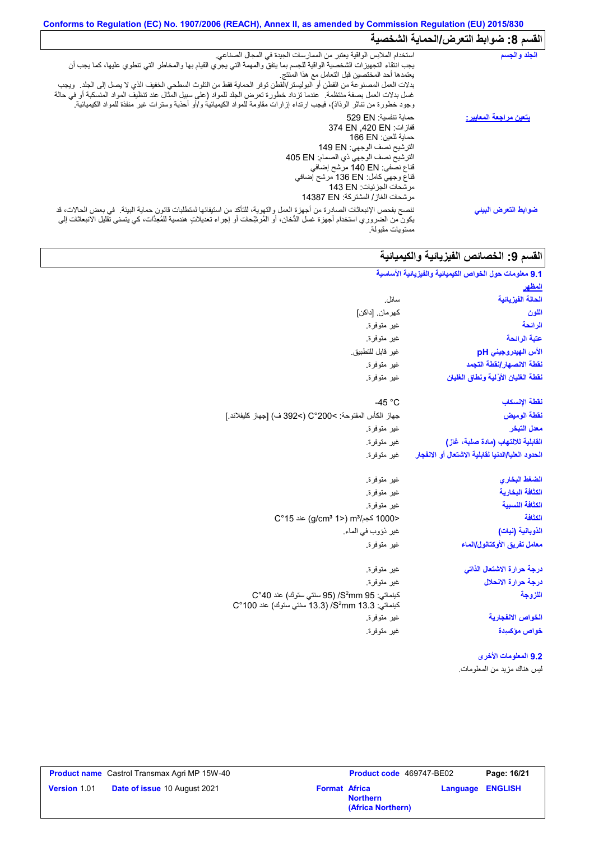# **Conforms to Regulation (EC) No. 1907/2006 (REACH), Annex II, as amended by Commission Regulation (EU) 2015/830 القسم :8 ضوابط التعرض/الحمایة الشخصیة**

| الجلد والجسم                   | استخدام الملابس الواقية يعتبر من الممارسات الجيدة في المجال الصناعي.<br>يجب انتقاء التجهيزات الشخصية الواقية للجسم بما يتفق والمهمة التي يجري القيام بها والمخاطر التي تنطوي عليها، كما يجب أن<br>يعتمدها أحد المختصين قبل التعامل مع هذا المنتج<br>بدلات العمل المصنوعة من القطن أو البوليستر/القطن توفر الحماية فقط من التلوث السطحي الخفيف الذي لا يصل إلى الجلد ٍ ويجب<br>غسل بدلات العمل بصفة منتظمة ٍ عندما تزداد خطورة تعرض الجلد للمواد (على سبيل المثال عند تنظيف المواد المنسكبة أو في حالة<br>وجود خطورة من تناثر الرذاذ)، فيجب ارتداء إزارات مقاومة للمواد الكيميائية و/أو أحذية وسترات غير منفذة للمواد الكيميائية <sub>.</sub> |
|--------------------------------|----------------------------------------------------------------------------------------------------------------------------------------------------------------------------------------------------------------------------------------------------------------------------------------------------------------------------------------------------------------------------------------------------------------------------------------------------------------------------------------------------------------------------------------------------------------------------------------------------------------------------------------------|
| <u>يتعين مراجعة المعايير :</u> | حماية تنفسية: 529 EN<br>قفازات: 374 EN .420 EN<br>حماية للعين: 166 EN<br>الترشيح نصف الوجهي: 149 EN<br>الترشيح نصف الوجهي ذي الصمام: 405 EN<br>قناع نصفي: 140 EN مرشح إضافي<br>قذاع وجهي كامل: 136 EN مرشح إضافي<br>مر شحات الجزئيات: 143 EN<br>مرشحات الغاز / المشتركة: 14387 EN                                                                                                                                                                                                                                                                                                                                                            |
| ضوابط التعرض البيني            | ننصح بفحص الإنبعاثات الصادرة من أجهزة العمل والتهوية، للتأكد من استيفائها لمتطلبات قانون حماية البيئة في بعض الحالات، قد<br>يكون من الضروري استخدام أجهزة غسل الدُّخان، أو المُرشِّحات أو إجراء تعديلاتٍ هندسية للمُعِدَّات، كي يتسنى تقليل الانبعاثات إلى<br>مستويات مقبولة.                                                                                                                                                                                                                                                                                                                                                                |

# |القسم 9: الخصائص الفيزيائية والكيميائية

| 9.1 معلومات حول الخواص الكيميانية والفيزيانية الأساسية |                                                                                                                      |
|--------------------------------------------------------|----------------------------------------------------------------------------------------------------------------------|
| <u>المظهر</u>                                          |                                                                                                                      |
| الحالة الفيزيانية                                      | سائل.                                                                                                                |
| اللون                                                  | كهر مان. [داكن]                                                                                                      |
| الرائحة                                                | غير متوفرة.                                                                                                          |
| عتبة الرائحة                                           | غير متوفرة.                                                                                                          |
| الأس الهيدروجيني pH                                    | غير قابل للتطبيق.                                                                                                    |
| نقطة الانصهار إنقطة التجمد                             | غير متوفرة.                                                                                                          |
| نقطة الغليان الأولية ونطاق الغليان                     | غير متوفرة.                                                                                                          |
| نقطة الإنسكاب                                          | -45 $^{\circ}$ C                                                                                                     |
| نقطة الوميض                                            | جهاز الكأس المفتوحة: C°200< (>392 ف) [جهاز كليفلاند.]                                                                |
| معدل التبخر                                            | غير متوفرة.                                                                                                          |
| القابلية للالتهاب (مادة صلبة، غاز)                     | غير متوفرة.                                                                                                          |
| الحدود العليا/الدنيا لقابلية الاشتعال أو الانفجار      | غير متوفرة.                                                                                                          |
| الضغط البخاري                                          | غير متوفرة.                                                                                                          |
| الكثافة البخارية                                       | غير متوفرة.                                                                                                          |
| الكثافة النسبية                                        | غير متوفرة.                                                                                                          |
| الكثافة                                                | <1000 كجم/m3 (2°15) m3 عند 15°C                                                                                      |
| الذوبانية (نيات)                                       | غير ذؤوب في الماء.                                                                                                   |
| معامل تفريق الأوكتانول/الماء                           | غير متوفرة.                                                                                                          |
| درجة حرارة الاشتعال الذاتى                             | غير متوفرة.                                                                                                          |
| درجة حرارة الانحلال                                    | غير متوفرة.                                                                                                          |
| اللزوجة                                                | كينماتي: S <sup>2</sup> mm 95/ (95 سنتي ستوك) عند C°40<br>كينماتي: 3.3 S <sup>2</sup> mm/ (13.3 سنتي ستوك) عند 100°C |
| الخواص الانفجارية                                      | غير متوفرة.                                                                                                          |
| خواص مؤكسيدة                                           | غير متوفرة.                                                                                                          |
| 9.2 المعلومات الأخرى                                   |                                                                                                                      |
| ليس هناك مزيد من المعلومات.                            |                                                                                                                      |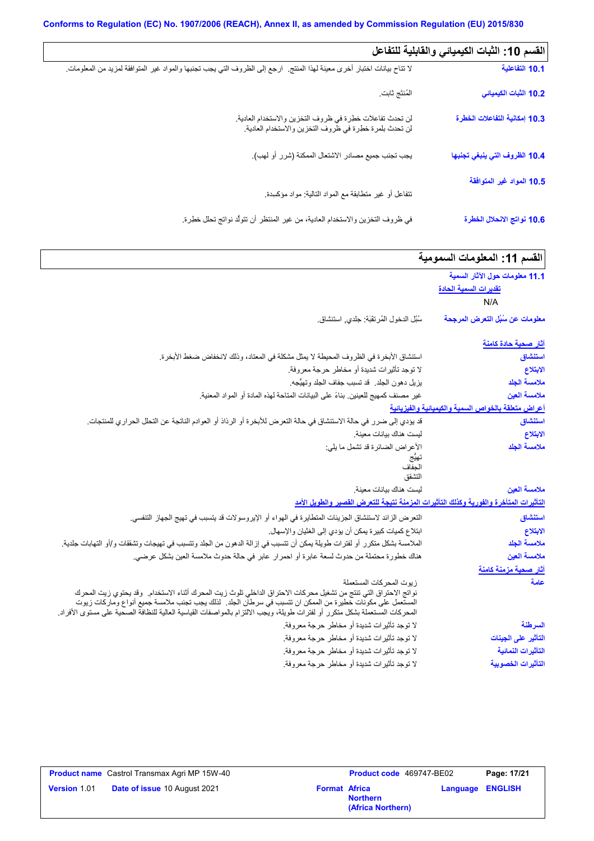| القسم 10: الثبات الكيميائي والقابلية للتفاعل |                                                                                                                           |
|----------------------------------------------|---------------------------------------------------------------------------------------------------------------------------|
| 10.1 التفاعلية                               | لا نتاح بيانات اختبار أخرى معينة لهذا المنتج   ارجع إلى الظروف التي يجب تجنبها والمواد غير المتوافقة لمزيد من المعلومات ِ |
| 10.2 الثبات الكيميائي                        | المُنتَج ثابت                                                                                                             |
| 10.3 إمكانية التفاعلات الخطرة                | لن تحدث تفاعلات خطرة في ظروف التخزين والاستخدام العادية.<br>لن تحدث بلمرة خطرة في ظروف التخزين والاستخدام العادية.        |
| 10.4 الظروف التي ينبغي تجنبها                | يجب تجنب جميع مصادر الاشتعال الممكنة (شرر أو لهب).                                                                        |
| 10.5 المواد غير المتوافقة                    | نتفاعل أو غير متطابقة مع المواد التالية: مواد مؤكمبدة                                                                     |
| 10.6 نواتج الانحلال الخطرة                   | في ظروف التخزين والاستخدام العادية، من غير المنتظر أن تتولَّد نواتج تحلل خطِرة.                                           |

| القسم 11: المعلومات السمومية                        |                                                                                                                                                                                                                                                                                                                                                             |
|-----------------------------------------------------|-------------------------------------------------------------------------------------------------------------------------------------------------------------------------------------------------------------------------------------------------------------------------------------------------------------------------------------------------------------|
| 11.1 معلومات حول الآثار السمية                      |                                                                                                                                                                                                                                                                                                                                                             |
| <u>تقديرات السمية الحادة</u>                        |                                                                                                                                                                                                                                                                                                                                                             |
| N/A                                                 |                                                                                                                                                                                                                                                                                                                                                             |
| معلومات عن سُبُل التعرض المرجحة                     | سُبُل الدخول المُرتقَبَة: جلدي, استنشاق.                                                                                                                                                                                                                                                                                                                    |
| <u>آثار صحية حادة كامنة</u>                         |                                                                                                                                                                                                                                                                                                                                                             |
| استنشاق                                             | استنشاق الأبخرة في الظروف المحيطة لا يمثل مشكلة في المعتاد، وذلك لانخفاض ضغط الأبخرة.                                                                                                                                                                                                                                                                       |
| الابتلاع                                            | لا توجد تأثيرات شديدة أو مخاطر حرجة معروفة.                                                                                                                                                                                                                                                                                                                 |
| ملامسة الجلد                                        | يزيل دهون الجلد. قد تسبب جفاف الجلد وتهيُّجه.                                                                                                                                                                                                                                                                                                               |
| ملامسة العين                                        | غير مصنف كمهيج للعينين بناءً على البيانات المتاحة لهذه المادة أو المواد المعنية.                                                                                                                                                                                                                                                                            |
| أعراض متعلقة بالخواص السمية والكيميانية والفيزيانية |                                                                                                                                                                                                                                                                                                                                                             |
| استنشاق                                             | قد يؤدي إلى ضرر في حالة الاستنشاق في حالة التعرض للأبخرة أو الرذاذ أو العوادم الناتجة عن التحلل الحراري للمنتجات.                                                                                                                                                                                                                                           |
| الابتلاع                                            | ليست هناك بيانات معينة                                                                                                                                                                                                                                                                                                                                      |
| ملامسة الجلد                                        | الأعراض الضائرة قد تشمل ما يلي:                                                                                                                                                                                                                                                                                                                             |
|                                                     | الحفاف                                                                                                                                                                                                                                                                                                                                                      |
|                                                     | التشقق                                                                                                                                                                                                                                                                                                                                                      |
| ملامسة العين                                        | ليست هناك بيانات معينة                                                                                                                                                                                                                                                                                                                                      |
|                                                     | التأثيرات المتأخرة والفورية وكذلك التأثيرات المزمنة نتيجة للتعرض القصير والطويل الأمد                                                                                                                                                                                                                                                                       |
| استنشاق                                             | النعر ض الزائد لاستنشاق الجزيئات المتطايرة في الهواء أو الإيروسولات قد يتسبب في تهيج الجهاز التنفسي.                                                                                                                                                                                                                                                        |
| الابتلاع                                            | ابنلاع كميات كبيرة يمكن أن يؤدي إلى الغثيان والإسهال.                                                                                                                                                                                                                                                                                                       |
| ملامسة الجلد                                        | الملامسة بشكل متكرر أو لفترات طويلة يمكن أن تتسبب في إزالة الدهون من الجلد وتتسبب في تهيجات وتشققات و/أو التهابات جلدية.                                                                                                                                                                                                                                    |
| ملامسة العين                                        | هناك خطورة محتملة من حدوث لسعة عابرة أو احمرار عابر في حالة حدوث ملامسة العين بشكل عرضي.                                                                                                                                                                                                                                                                    |
| آثار صحية مزمنة كامنة                               |                                                                                                                                                                                                                                                                                                                                                             |
| علمة                                                | زيوت المحركات المستعملة                                                                                                                                                                                                                                                                                                                                     |
|                                                     | نواتج الاحتراق التي تنتج من تشغيل محركات الاحتراق الداخلي تلوث زيت المحرك أثناء الاستخدام. وقد يحتوي زيت المحرك<br>المستعمل على مكونات خطيرة من الممكن ان تتسبب في سرطان الجلد . لذلك يجب تجنب ملامسة جميع أنواع وماركات زيوت<br>المحركات المستعملة بشكل متكرر أو لفترات طويلة، ويُجب الالتزام بالمواصفات القياسية العالية للنظافة الصحية على مستوى الأفراد |
| السرطنة                                             | لا توجد تأثيرات شديدة أو مخاطر حرجة معروفة.                                                                                                                                                                                                                                                                                                                 |
| التأثير على الجينات                                 | لا توجد تأثيرات شديدة أو مخاطر حرجة معروفة.                                                                                                                                                                                                                                                                                                                 |
| التأثيرات النمائية                                  | لا توجد تأثيرات شديدة أو مخاطر حرجة معروفة.                                                                                                                                                                                                                                                                                                                 |
| التأثيرات الخصوبية                                  | لا توجد تأثيرات شديدة أو مخاطر حرجة معروفة.                                                                                                                                                                                                                                                                                                                 |

|                     | <b>Product name</b> Castrol Transmax Agri MP 15W-40 |                      | Product code 469747-BE02             |                         | Page: 17/21 |
|---------------------|-----------------------------------------------------|----------------------|--------------------------------------|-------------------------|-------------|
| <b>Version 1.01</b> | <b>Date of issue 10 August 2021</b>                 | <b>Format Africa</b> | <b>Northern</b><br>(Africa Northern) | <b>Language ENGLISH</b> |             |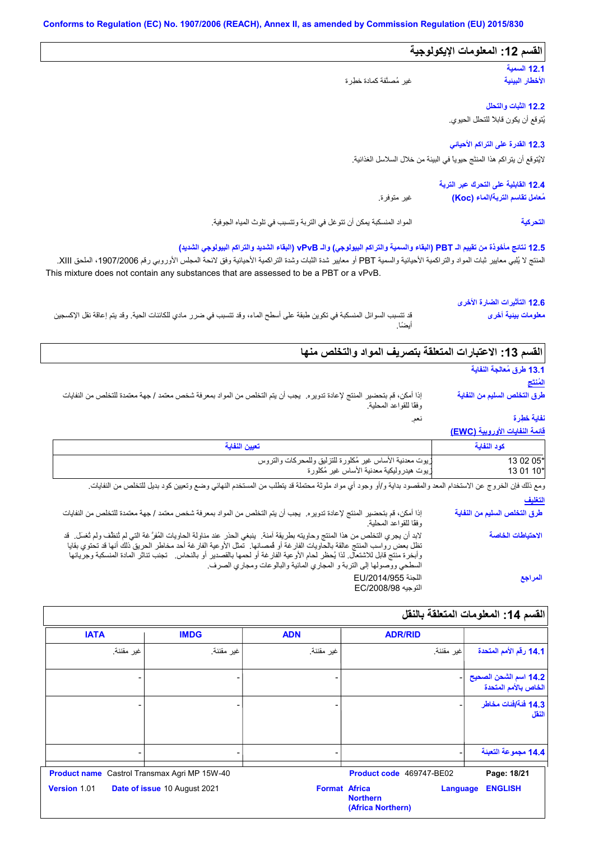| القسم 12: المعلومات الإيكولوجية                                            |                                                                                                                                                                                                                                                                                                                                                                                     |
|----------------------------------------------------------------------------|-------------------------------------------------------------------------------------------------------------------------------------------------------------------------------------------------------------------------------------------------------------------------------------------------------------------------------------------------------------------------------------|
| 12.1 السمية                                                                |                                                                                                                                                                                                                                                                                                                                                                                     |
| الأخطار البينية                                                            | غير مُصنَّفة كمادة خطِرة                                                                                                                                                                                                                                                                                                                                                            |
| 12.2 الثبات والتحلل                                                        |                                                                                                                                                                                                                                                                                                                                                                                     |
| يُتوقع أن يكون قابلاً للتحلل الحيوي.                                       |                                                                                                                                                                                                                                                                                                                                                                                     |
| 12.3 القدرة على التراكم الأحياني                                           |                                                                                                                                                                                                                                                                                                                                                                                     |
| لايُتوقع أن يتر اكم هذا المنتَج حيوياً في البيئة من خلال السلاسل الغذائية. |                                                                                                                                                                                                                                                                                                                                                                                     |
| 12.4 القابلية على التحرك عبر التربة                                        |                                                                                                                                                                                                                                                                                                                                                                                     |
| مُعامل تقاسم التربة/الماء (Koc)                                            | غير متوفرة.                                                                                                                                                                                                                                                                                                                                                                         |
| التحركية                                                                   | المواد المنسكبة يمكن أن تتوغل في التربة وتتسبب في تلوث المياه الجوفية.                                                                                                                                                                                                                                                                                                              |
|                                                                            | 12.5 نتانج مأخوذة من تقييم الـ PBT (البقاء والسمية والتراكم البيولوجي) والـ vPvB (البقاء الشديد والتراكم البيولوجي الشديد)<br>المنتج لا يُلبي معايير ثبات المواد والتراكمية الأحيائية والسمية PBT أو معايير شدة الثنراكمية الأعيائية وفق لائحة المجلس الأوروبي رقم 1907/2006، الملحق XIII.<br>This mixture does not contain any substances that are assessed to be a PBT or a vPvB. |
| 12.6 التأثيرات الضارة الأخرى                                               |                                                                                                                                                                                                                                                                                                                                                                                     |
| معلومات بينية أخرى                                                         | قد تتسبب السوائل المنسكبة في تكوين طبقة على أسطح الماء، وقد تتسبب في ضرر ٍ مادي للكائنات الحية. وقد يتم إعاقة نقل الإكسجين                                                                                                                                                                                                                                                          |

### القسم 13: الاعتبارات المتعلقة بتصريف المواد والتخلص منها

نعم.

## **13.1 طرق مُعالجة النفایة**

**المُنتَج طرق التخلص السلیم من النفایة**

إذا أمكن، قم بتحضیر المنتج لإعادة تدویره. یجب أن یتم التخلص من المواد بمعرفة شخص معتمد / جھة معتمدة للتخلص من النفایات وفقًا للقواعد المحلیة.

### **نفایة خطِرة**

### **قائمة النفایات الأوروبیة (EWC(**

| تعيين النفاية                                            | كود النفاية |
|----------------------------------------------------------|-------------|
| زيوت معدنية الأساس غير مُكلورة للتزليق وللمحركات والتروس | 13 02 05*   |
| زيوت هيدروليكية معدنية الأساس غير مُكلورة                | 13 01 10*   |
|                                                          |             |

| ومع ذلك فإن الخروج عن الاستخدام المعد والمقصود بداية و/أو وجود أي مواد ملوثة محتملة قد يتطلب من المستخدم النهائي وضع وتعيين كود بديل للتخلص من النفايات                                                                                                                                                                                                                                                                                                         |                              |
|-----------------------------------------------------------------------------------------------------------------------------------------------------------------------------------------------------------------------------------------------------------------------------------------------------------------------------------------------------------------------------------------------------------------------------------------------------------------|------------------------------|
|                                                                                                                                                                                                                                                                                                                                                                                                                                                                 | التغليف                      |
| إذا أمكن، قم بتحضير المنتج لإعادة تدويره. يجب أن يتم التخلص من المواد بمعرفة شخص معتمد / جهة معتمدة للتخلص من النفايات<br>وفقًا للقواعد المحلية.                                                                                                                                                                                                                                                                                                                | طرق التخلص السليم من النفاية |
| لابد أن يجري التخلص من هذا المنتج وحاويته بطريقة آمنة.  ينبغي الحذر عند مناولة الحاويات المُفرَّ غة التي لم ثنظف ولم ثغسل.  قد<br>تظل بعض رواسب المنتج عالقة بالحاويات الفارغة أو فمصانها  تمثل الأوعية الفارغة أحد مخاطر الحريق ذلك أنها قد تحتوي بقايا<br>وأبخرة منتج قابل للاشتعال لذا يُحظر لحام الأوعية الفارغة أو لحمها بالقصدير أو بالنحاس ِ نجنب تناثر المادة المنسكبة وجريانها<br>السطحي ووصولها إلى التربة و المجاري المائية والبالوعات ومجاري الصرف. | الاحتياطات الخاصة            |
| اللجنة EU/2014/955<br>التوجيه EC/2008/98                                                                                                                                                                                                                                                                                                                                                                                                                        | المراجع                      |

# **القسم :14 المعلومات المتعلقة بالنقل**

| <b>IATA</b>                                         | <b>IMDG</b>                  | <b>ADN</b> | <b>ADR/RID</b>                                                                  |                                               |
|-----------------------------------------------------|------------------------------|------------|---------------------------------------------------------------------------------|-----------------------------------------------|
| غير مقننة.                                          | غير مقننة.                   | غير مقننة. | غير مقننة.                                                                      | 14.1 رقم الأمم المتحدة                        |
|                                                     |                              |            |                                                                                 | 14.2 اسم الشحن الصحيح<br>الخاص بالأمم المتحدة |
|                                                     |                              |            |                                                                                 | 14.3 فَنَةَ/فَنات مخاطر<br>النقل              |
|                                                     |                              |            |                                                                                 | 14.4 مجموعة التعبنة                           |
| <b>Product name</b> Castrol Transmax Agri MP 15W-40 |                              |            | Product code 469747-BE02                                                        | Page: 18/21                                   |
| Version 1.01                                        | Date of issue 10 August 2021 |            | <b>Format Africa</b><br><b>Language</b><br><b>Northern</b><br>(Africa Northern) | <b>ENGLISH</b>                                |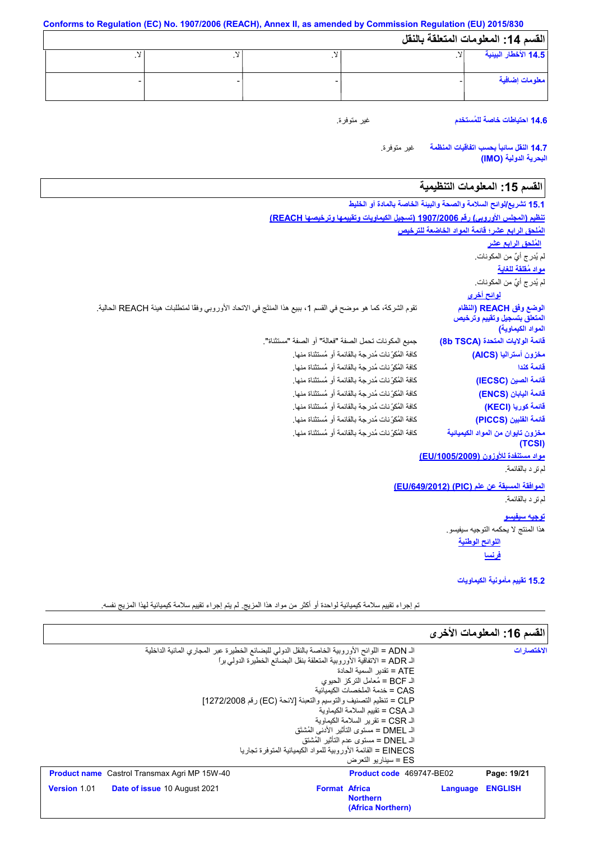**Conforms to Regulation (EC) No. 1907/2006 (REACH), Annex II, as amended by Commission Regulation (EU) 2015/830 القسم :14 المعلومات المتعلقة بالنقل** لا. - لا. - لا. - لا. - **14.5 الأخطار البیئیة معلومات إضافیة**

**14.6 احتیاطات خاصة للمُستخدم**

غیر متوفرة.

غیر متوفرة. **14.7 النقل سائباً بحسب اتفاقیات المنظمة البحریة الدولیة (IMO(**

# القسم 15: المعلومات التنظيمية

| 15.1 تشريع/لوائح السلامة والصحة والبيئة الخاصة بالمادة أو الخليط |                                                                                                              |
|------------------------------------------------------------------|--------------------------------------------------------------------------------------------------------------|
|                                                                  | تنظيم (المجلس الأوروبي) رقم 1907/2006 (تسجيل الكيماويات وتقييمها وترخيصها REACH)                             |
| المُلحق الرابع عشر؛ قائمة المواد الخاضعة للترخيص                 |                                                                                                              |
| ا <u>لمُلحق الرابع عشر</u>                                       |                                                                                                              |
| لم يُدرِ ج أيٌّ من المكونات.                                     |                                                                                                              |
| مواد مُقلقة للغاية                                               |                                                                                                              |
| لم يُدرِ ج أيٌّ من المكونات.                                     |                                                                                                              |
| <u>لوائح أخرى</u>                                                |                                                                                                              |
| الوضع وفق REACH (النظام<br>المتعلق بتسجيل وتقييم وترخيص          | تقوم الشركة، كما هو موضح في القسم 1، ببيع هذا المنتَج في الاتحاد الأوروبي وفقًا لمنطلبات هيئة REACH الحالية. |
| المواد الكيماوية)                                                |                                                                                                              |
| قائمة الولايات المتحدة (8b TSCA)                                 | جميع المكونات تحمل الصفة "فعالة" أو الصفة "مستثناة".                                                         |
| مخزون أستراليا (AICS)                                            | كافة المُكوِّ نات مُدرِ جة بالقائمة أو مُستثناة منها.                                                        |
| قائمة كندا                                                       | كافة المُكوِّ نات مُدرِ جة بالقائمة أو مُستثناة منها.                                                        |
| قائمة الصين (IECSC)                                              | كافة المُكوِّ نات مُدرِجة بالقائمة أو مُستثناة منها.                                                         |
| فَائمة اليابان (ENCS)                                            | كافة المُكوِّ نات مُدرِ جة بالقائمة أو مُستثناة منها.                                                        |
| قائمة كوريا (KECI)                                               | كافة المُكوِّ نات مُدرِ جة بالقائمة أو مُستثناة منها.                                                        |
| قائمة الفلبين (PICCS)                                            | كافة المُكرِّ نات مُدر جة بالقائمة أو مُستثناة منها.                                                         |
| مخزون تايوان من المواد الكيميائية<br>(TCSI)                      | كافة الْمُكرِّ نات مُدر جة بِالْقائمة أو مُستثناة منها.                                                      |
| مواد مستنفدة للأوزون (EU/1005/2009)                              |                                                                                                              |
| لم تر د بالقائمة.                                                |                                                                                                              |
| الموافقة المسبقة عن علم (PIC) (EU/649/2012)                      |                                                                                                              |
| لم تر د بالقائمة.                                                |                                                                                                              |
| <u>توجيه سيفيسو</u>                                              |                                                                                                              |
| هذا المنتج لا يحكمه التوجيه سيفيسو .                             |                                                                                                              |
| اللوائح الوطنية                                                  |                                                                                                              |
| <u>فرنسا</u>                                                     |                                                                                                              |

**15.2 تقییم مأمونیة الكیماویات**

تم إجراء تقییم سلامة كیمیائیة لواحدة أو أكثر من مواد ھذا المزیج. لم یتم إجراء تقییم سلامة كیمیائیة لھذا المزیج نفسھ.

|                                                                                               |                                           |          | القسم 16: المعلومات الأخرى |
|-----------------------------------------------------------------------------------------------|-------------------------------------------|----------|----------------------------|
| الـ ADN = اللوائح الأوروبية الخاصة بالنقل الدولي للبضائع الخطيرة عبر المجاري المائية الداخلية |                                           |          | الاختصار ات                |
| الـ ADR = الاتفاقية الأوروبية المتعلقة بنقل البضائع الخطيرة الدولي براً                       |                                           |          |                            |
|                                                                                               | ATE = تقدبر   السمبة الحادة               |          |                            |
|                                                                                               | الـ BCF = مُعامل التركز  الحيوي           |          |                            |
|                                                                                               | CAS = خدمة الملخصات الكىمىائية            |          |                            |
| CLP = تنظيم التصنيف والتوسيم والتعبئة [لائحة (EC) رقم 1272/2008]                              |                                           |          |                            |
|                                                                                               | الـ CSA = تقبيم السلامة الكبماو بة        |          |                            |
|                                                                                               | الـ CSR = تقرير السلامة الكبماوية         |          |                            |
|                                                                                               | الـ DMEL = مستوى التأثير  الأدني المُشتَق |          |                            |
|                                                                                               | الـ DNEL = مستوى عدم التأثير  المُشتق     |          |                            |
| EINECS = القائمة الأور وبية للمواد الكبمبائية المتوفر ة تجار با                               |                                           |          |                            |
|                                                                                               | ES = سبنار بو التعرض                      |          |                            |
| <b>Product name</b> Castrol Transmax Agri MP 15W-40                                           | <b>Product code</b> 469747-BE02           |          | Page: 19/21                |
| <b>Version 1.01</b><br><b>Date of issue 10 August 2021</b>                                    | <b>Format Africa</b>                      | Language | <b>ENGLISH</b>             |
|                                                                                               | <b>Northern</b>                           |          |                            |
|                                                                                               | (Africa Northern)                         |          |                            |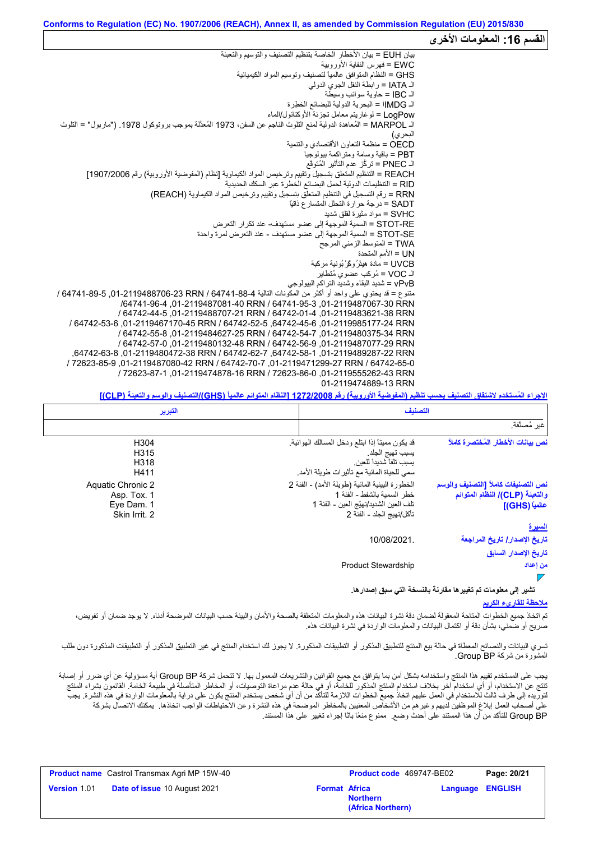|                                                                                                                     | القسم 16: المعلومات الأخرى |
|---------------------------------------------------------------------------------------------------------------------|----------------------------|
| بيان EUH = بيان الأخطار الخاصة بتنظيم التصنيف والتوسيم والتعبئة                                                     |                            |
| EWC = فهر س النفاية الأور وبية                                                                                      |                            |
| GHS = النظام المتوافق عالمياً لتصنيف وتوسيم المواد الكيميائية                                                       |                            |
| الـ IATA = رابطة النقل الجوي الدولي                                                                                 |                            |
| الـ IBC = حاوية سوائب وسيطة                                                                                         |                            |
| الـ IMDG! = البحرية الدولية للبضائع الخطرة                                                                          |                            |
| LogPow = لوغاريتم معامل تجزئة الأوكتانول/الماء                                                                      |                            |
| الـ MARPOL = المُعاهدة الدولية لمنع النلوث الناجم عن السفن، 1973 المُعدَّلة بموجب بروتوكول 1978. ("ماربول" = النلوث |                            |
| البحر ي)                                                                                                            |                            |
| OECD = منظمة التعاون الأقتصادي والتنمية                                                                             |                            |
| PBT = باقية وسامة ومتر اكمة بيولوجيا                                                                                |                            |
| الـ PNEC = تركُّز عدم التَأثير المُتوقَّع                                                                           |                            |
| REACH = التنظيم المتعلق بتسجيل وتقييم وترخيص المواد الكيماوية [نظام (المفوضية الأوروبية) رقم 1907/2006]             |                            |
| RID = التنظيمات الدولية لحمل البضائع الخطرة عبر السكك الحديدية                                                      |                            |
| RRN = رقم التسجيل في التنظيم المتعلق بتسجيل وتقييم وترخيص المواد الكيماوية (REACH)                                  |                            |
| SADT = در جة حر ار ة التحلل المتسار ع ذاتيًّا                                                                       |                            |
| SVHC = مواد مثير ة لقلق شديد                                                                                        |                            |
| STOT-RE = السمية الموجهة إلى عضو مستهدف- عند تكر ار التعرض                                                          |                            |
| STOT-SE = السمية الموجهة إلى عضو  مستهدف - عند التعر ض لمر ة و احدة                                                 |                            |
| TWA = المتوسط الزمني المرجح                                                                                         |                            |
| UN = الأمم المتحدة                                                                                                  |                            |
| UVCB = مادة هيئرُ وكَرْ بُونية مركبة                                                                                |                            |
| الـ VOC = مُركب عضوى مُتطاير<br>vPvB = شديد البقاء وشديد التراكم البيولوجي                                          |                            |
| متنوع = قد يحتوي على واحد أو أكثر من المكونات التالية 4-88-64741 / S4741-89-706-2119488706 / 64741-89               |                            |
| /64741-96-3 01-2119487061-40 RRN / 64741-95-3 01-2119487067-30 RRN                                                  |                            |
| / 64742-44-5 .01-2119488707-21 RRN / 64742-01-4 .01-2119483621-38 RRN                                               |                            |
| / 64742-53-6.01-2119467170-45 RRN / 64742-52-5 .64742-45-6 .01-2119985177-24 RRN                                    |                            |
| / 64742-54-01-2119480375-34 RRN / 64742-54-7 .01-2119480375-34 RRN                                                  |                            |
| / 64742-57-0 .01-2119480132-48 RRN / 64742-56-9 .01-2119487077-29 RRN                                               |                            |
| .64742-63-8287-22 RRN / 64742-62-7 .64742-58-1 .01-2119489287-22 RRN                                                |                            |
| / 72623-85-9.01-2119487080-42 RRN / 64742-70-7 .01-2119471299-27 RRN / 64742-65-0                                   |                            |
| / 72623-87-1 .01-2119474878-16 RRN / 72623-86-0 .01-2119555262-43 RRN                                               |                            |
| 01-2119474889-13 RRN                                                                                                |                            |
|                                                                                                                     |                            |

**الإجراء المُستخدم لاشتقاق التصنیف بحسب تنظیم (المفوضیة الأوروبیة) رقم 1272/2008 [النظام المتوائم عالمیاً (GHS(/التصنیف والوسم والتعبئة (CLP[(**

| التبرير                                                         | التصنيف                                                                                                                                                                                                                                          |
|-----------------------------------------------------------------|--------------------------------------------------------------------------------------------------------------------------------------------------------------------------------------------------------------------------------------------------|
|                                                                 | غير مُصنَّفة.                                                                                                                                                                                                                                    |
| H304<br>H315<br>H318<br>H411                                    | نص بيانات الأخطار المُختصرة كاملأ<br>قد يكون مميناً إذا ابتلع ودخل المسالك الهوائية.<br>يسبب تهيج الجلد<br>يسبب تلفآ شديدا للعين<br>سمي للحياة المائية مع تأثيرات طويلة الأمد                                                                    |
| Aquatic Chronic 2<br>Asp. Tox. 1<br>Eye Dam. 1<br>Skin Irrit. 2 | الخطورة البيئية المائية (طويلة الأمد) - الفئة 2<br>نص التصنيفات كاملأ [التصنيف والوسم<br>خطر السمبة بالشفط - الفئة 1<br>والتعبنة (CLP)/ النظام المتوائم<br>تلف العين الشديد/تهيّج العين - الفئة 1<br>عالمياً (GHS)]<br>تأكل/تهيج الجلد - الفئة 2 |
|                                                                 | <u>السيرة</u>                                                                                                                                                                                                                                    |
|                                                                 | 10/08/2021.<br>تاريخ الإصدار / تاريخ المراجعة<br>تاريخ الإصدار السابق                                                                                                                                                                            |
|                                                                 | <b>Product Stewardship</b><br>من إعداد                                                                                                                                                                                                           |

**تشیر إلى معلومات تم تغییرھا مقارنةً بالنسخة التي سبق إصدارھا.**

### **ملاحظة للقاريء الكریم**

تم اتخاذ جمیع الخطوات المعقولة لضمان دقة نشرة البیانات هذه والمعلومات المتعلقة بالصحة والأمان والبیئة حسب البیانات الموضحة أدناه. لا یوجد ضمان أو تفویض، صریح أو ضمني، بشأن دقة أو اكتمال البیانات والمعلومات الواردة في نشرة البیانات ھذه.

تسري البيانات والنصائح المعطاة في حالة بيع المنتج للتطبيق المذكورة. لا يجوز لك استخدام المنتج في غير التطبيق المذكور أو التطبيقات المذكورة دون طلب المشورة من شركة BP Group.

يجب على المستخدم تقييم هذا المنتج واستخدامه بشكل آمن بما يتوافق مع جميع القوانين والتشريعات المعمول بها. لا تتحمل شركة Group BP أية مسؤولية عن أي ضرر أو إصابة تنتج عن الاستخدام، أو أي استخدام آخر بخلاف استخدام المنتج المذكور للخامة، أو عن التوصيات، أو المخاطر المتأصلة في طبیعة الخامة. القائمون بشراء المنتج لتوریده إلى طرف ثالث للاستخدام في العمل علیهم اتخاذ جمیع الخطوات اللازمة للتأكد من أن أي شخص یستخدم المنتج یكون على درایة بالمعلومات الواردة في هذه النشرة. یجب على أصحاب العمل إبلاغ الموظفین لدیھم وغیرھم من الأشخاص المعنیین بالمخاطر الموضحة في ھذه النشرة وعن الاحتیاطات الواجب اتخاذھا. یمكنك الاتصال بشركة BP Group للتأكد من أن ھذا المستند على أحدث وضع. ممنوع منعًا باتًا إجراء تغییر على ھذا المستند.

|                     | <b>Product name</b> Castrol Transmax Agri MP 15W-40 |                      | <b>Product code</b> 469747-BE02      |                         | Page: 20/21 |
|---------------------|-----------------------------------------------------|----------------------|--------------------------------------|-------------------------|-------------|
| <b>Version 1.01</b> | <b>Date of issue 10 August 2021</b>                 | <b>Format Africa</b> | <b>Northern</b><br>(Africa Northern) | <b>Language ENGLISH</b> |             |